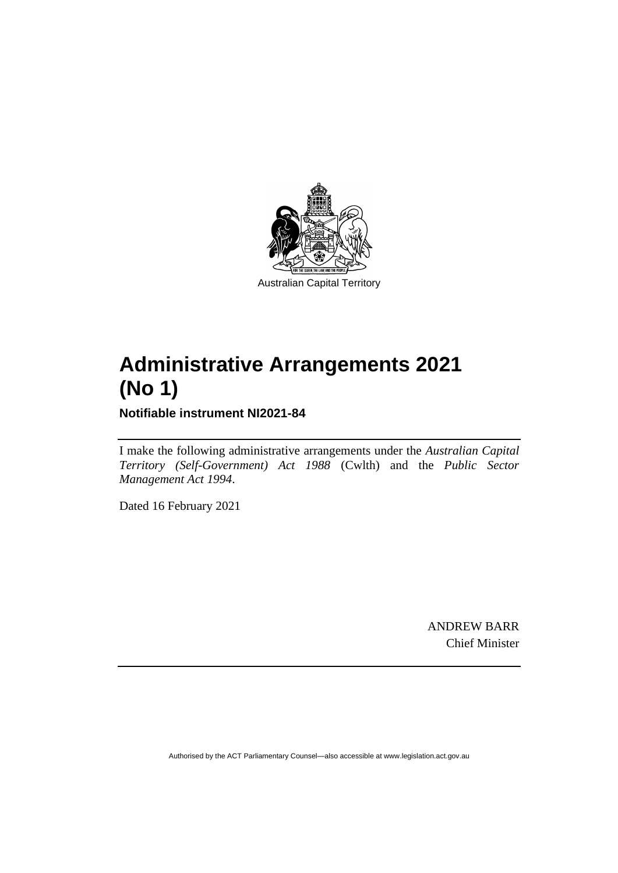

# **Administrative Arrangements 2021 (No 1)**

**Notifiable instrument NI2021-84**

I make the following administrative arrangements under the *Australian Capital Territory (Self-Government) Act 1988* (Cwlth) and the *Public Sector Management Act 1994*.

Dated 16 February 2021

ANDREW BARR Chief Minister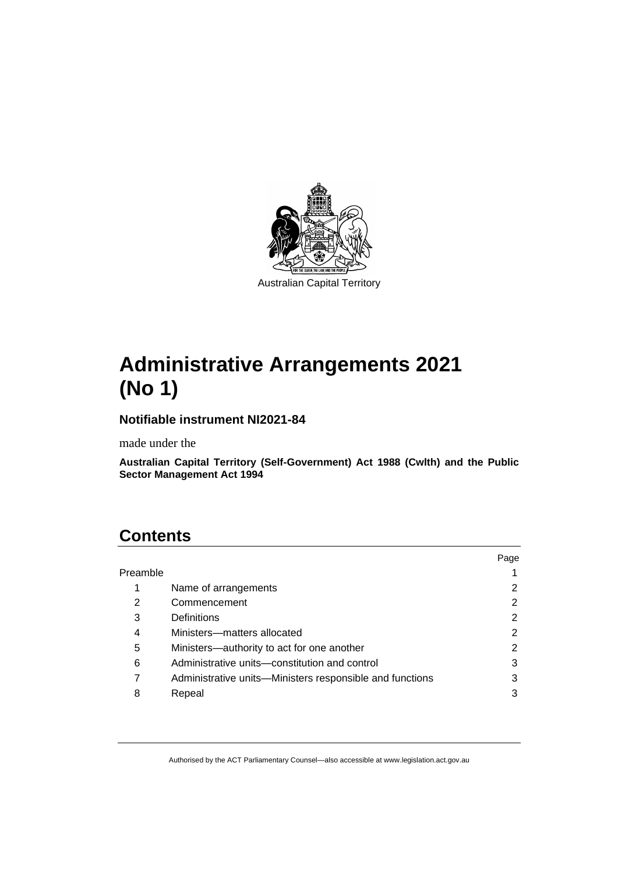

# **Administrative Arrangements 2021 (No 1)**

### **Notifiable instrument NI2021-84**

made under the

**Australian Capital Territory (Self-Government) Act 1988 (Cwlth) and the Public Sector Management Act 1994**

## **Contents**

|          |                                                          | Page |
|----------|----------------------------------------------------------|------|
| Preamble |                                                          |      |
| 1        | Name of arrangements                                     |      |
| 2        | Commencement                                             | 2    |
| 3        | <b>Definitions</b>                                       | 2    |
| 4        | Ministers-matters allocated                              | 2    |
| 5        | Ministers-authority to act for one another               | 2    |
| 6        | Administrative units—constitution and control            | 3    |
|          | Administrative units—Ministers responsible and functions | 3    |
| 8        | Repeal                                                   | 3    |
|          |                                                          |      |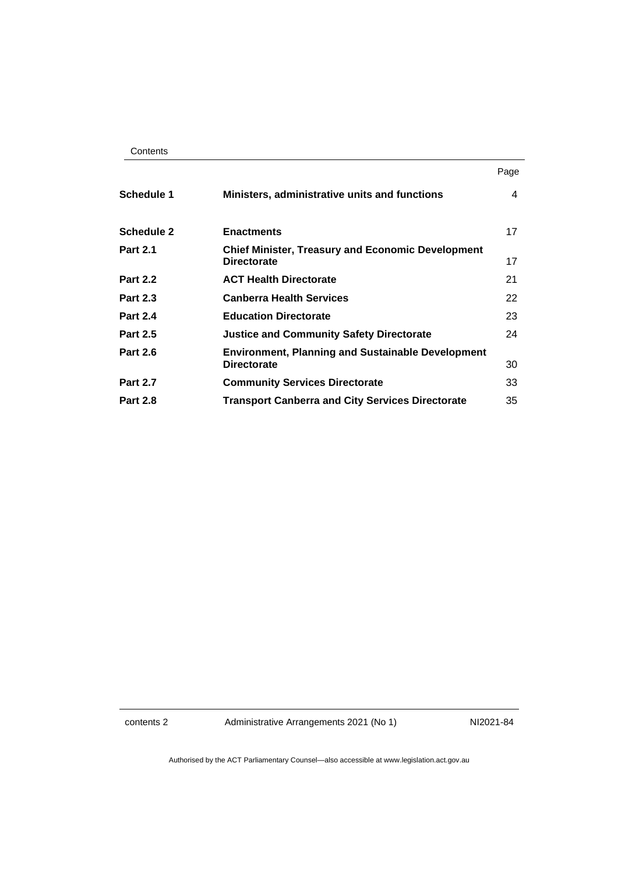| Contents |
|----------|
|----------|

|                   |                                                                                | Page |
|-------------------|--------------------------------------------------------------------------------|------|
| <b>Schedule 1</b> | Ministers, administrative units and functions                                  | 4    |
| <b>Schedule 2</b> | <b>Enactments</b>                                                              | 17   |
| <b>Part 2.1</b>   | <b>Chief Minister, Treasury and Economic Development</b><br><b>Directorate</b> | 17   |
| <b>Part 2.2</b>   | <b>ACT Health Directorate</b>                                                  | 21   |
| <b>Part 2.3</b>   | <b>Canberra Health Services</b>                                                | 22   |
| <b>Part 2.4</b>   | <b>Education Directorate</b>                                                   | 23   |
| <b>Part 2.5</b>   | <b>Justice and Community Safety Directorate</b>                                | 24   |
| <b>Part 2.6</b>   | <b>Environment, Planning and Sustainable Development</b><br><b>Directorate</b> | 30   |
| <b>Part 2.7</b>   | <b>Community Services Directorate</b>                                          | 33   |
| <b>Part 2.8</b>   | <b>Transport Canberra and City Services Directorate</b>                        | 35   |

contents 2 Administrative Arrangements 2021 (No 1) NI2021-84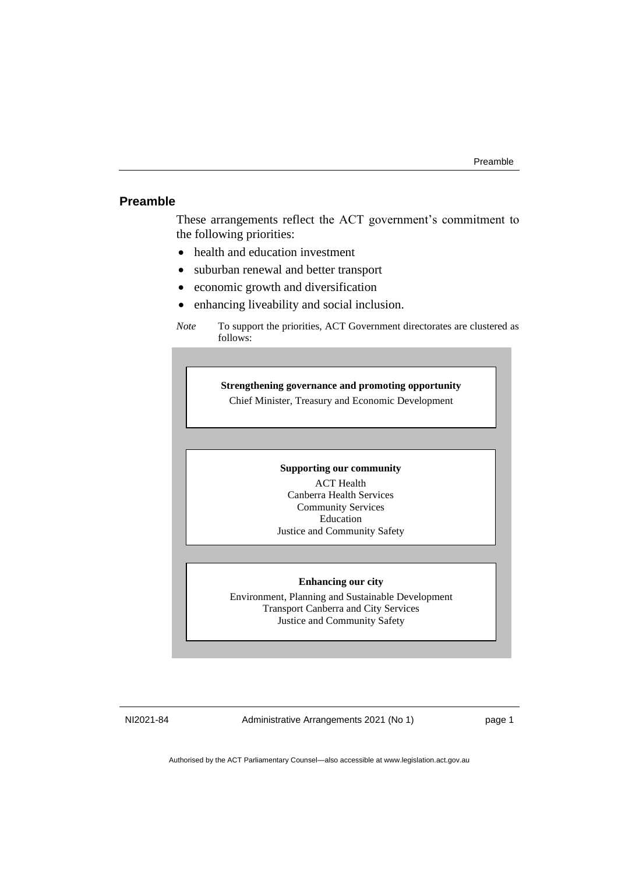#### <span id="page-4-0"></span>**Preamble**

These arrangements reflect the ACT government's commitment to the following priorities:

- health and education investment
- suburban renewal and better transport
- economic growth and diversification
- enhancing liveability and social inclusion.

#### **Strengthening governance and promoting opportunity**

Chief Minister, Treasury and Economic Development

#### **Supporting our community**

ACT Health Canberra Health Services Community Services Education Justice and Community Safety

#### **Enhancing our city**

Environment, Planning and Sustainable Development Transport Canberra and City Services Justice and Community Safety

NI2021-84 Administrative Arrangements 2021 (No 1) page 1

*Note* To support the priorities, ACT Government directorates are clustered as follows: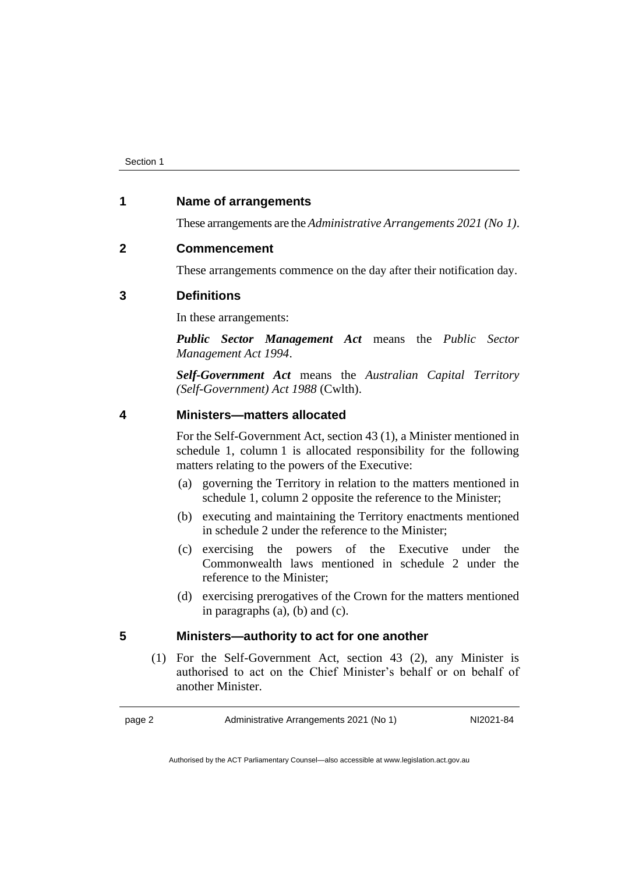#### <span id="page-5-0"></span>**1 Name of arrangements**

These arrangements are the *Administrative Arrangements 2021 (No 1)*.

#### <span id="page-5-1"></span>**2 Commencement**

These arrangements commence on the day after their notification day.

#### <span id="page-5-2"></span>**3 Definitions**

In these arrangements:

*Public Sector Management Act* means the *Public Sector Management Act 1994*.

*Self-Government Act* means the *Australian Capital Territory (Self-Government) Act 1988* (Cwlth).

#### <span id="page-5-3"></span>**4 Ministers—matters allocated**

For the Self-Government Act, section 43 (1), a Minister mentioned in schedule 1, column 1 is allocated responsibility for the following matters relating to the powers of the Executive:

- (a) governing the Territory in relation to the matters mentioned in schedule 1, column 2 opposite the reference to the Minister;
- (b) executing and maintaining the Territory enactments mentioned in schedule 2 under the reference to the Minister;
- (c) exercising the powers of the Executive under the Commonwealth laws mentioned in schedule 2 under the reference to the Minister;
- (d) exercising prerogatives of the Crown for the matters mentioned in paragraphs (a), (b) and (c).

#### <span id="page-5-4"></span>**5 Ministers—authority to act for one another**

(1) For the Self-Government Act, section 43 (2), any Minister is authorised to act on the Chief Minister's behalf or on behalf of another Minister.

page 2 Administrative Arrangements 2021 (No 1) NI2021-84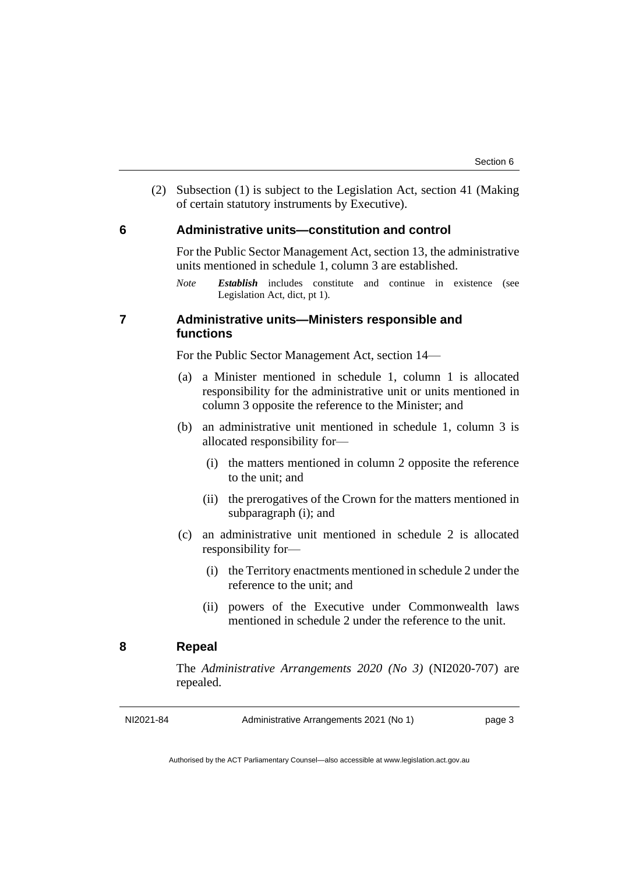(2) Subsection (1) is subject to the Legislation Act, section 41 (Making of certain statutory instruments by Executive).

#### <span id="page-6-0"></span>**6 Administrative units—constitution and control**

For the Public Sector Management Act, section 13, the administrative units mentioned in schedule 1, column 3 are established.

*Note Establish* includes constitute and continue in existence (see Legislation Act, dict, pt 1).

#### <span id="page-6-1"></span>**7 Administrative units—Ministers responsible and functions**

For the Public Sector Management Act, section 14—

- (a) a Minister mentioned in schedule 1, column 1 is allocated responsibility for the administrative unit or units mentioned in column 3 opposite the reference to the Minister; and
- (b) an administrative unit mentioned in schedule 1, column 3 is allocated responsibility for—
	- (i) the matters mentioned in column 2 opposite the reference to the unit; and
	- (ii) the prerogatives of the Crown for the matters mentioned in subparagraph (i); and
- (c) an administrative unit mentioned in schedule 2 is allocated responsibility for—
	- (i) the Territory enactments mentioned in schedule 2 under the reference to the unit; and
	- (ii) powers of the Executive under Commonwealth laws mentioned in schedule 2 under the reference to the unit.

#### <span id="page-6-2"></span>**8 Repeal**

The *Administrative Arrangements 2020 (No 3)* (NI2020-707) are repealed.

NI2021-84 Administrative Arrangements 2021 (No 1) page 3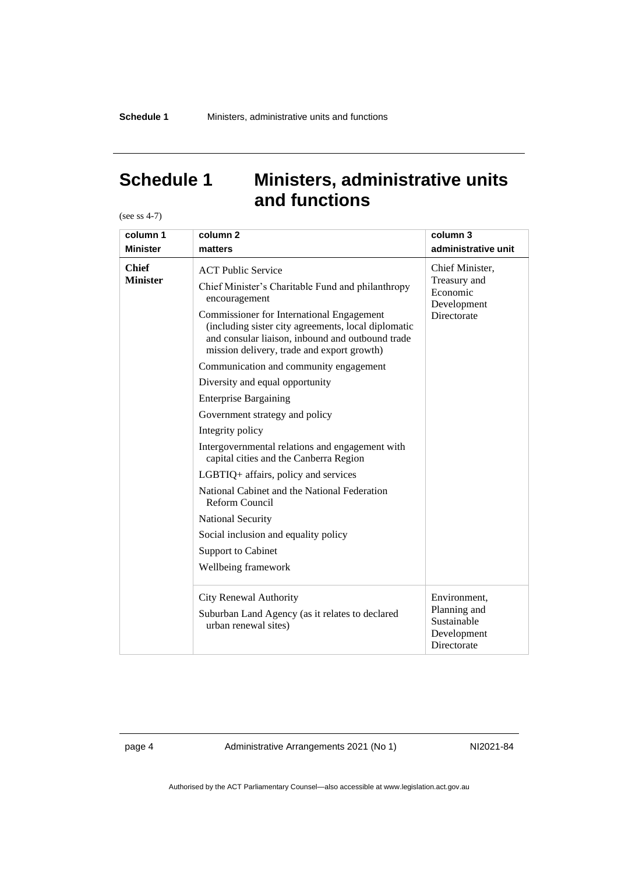### <span id="page-7-0"></span>**Schedule 1 Ministers, administrative units and functions**

(see ss 4-7)

| column 1                        | column <sub>2</sub>                                                                                                                                                                                                                                                                                                                                                                                                                                                                                                                                                                                                                                                                                                                                                                                            | column 3                                                                  |
|---------------------------------|----------------------------------------------------------------------------------------------------------------------------------------------------------------------------------------------------------------------------------------------------------------------------------------------------------------------------------------------------------------------------------------------------------------------------------------------------------------------------------------------------------------------------------------------------------------------------------------------------------------------------------------------------------------------------------------------------------------------------------------------------------------------------------------------------------------|---------------------------------------------------------------------------|
| <b>Minister</b>                 | matters                                                                                                                                                                                                                                                                                                                                                                                                                                                                                                                                                                                                                                                                                                                                                                                                        | administrative unit                                                       |
| <b>Chief</b><br><b>Minister</b> | <b>ACT Public Service</b><br>Chief Minister's Charitable Fund and philanthropy<br>encouragement<br><b>Commissioner for International Engagement</b><br>(including sister city agreements, local diplomatic<br>and consular liaison, inbound and outbound trade<br>mission delivery, trade and export growth)<br>Communication and community engagement<br>Diversity and equal opportunity<br><b>Enterprise Bargaining</b><br>Government strategy and policy<br>Integrity policy<br>Intergovernmental relations and engagement with<br>capital cities and the Canberra Region<br>LGBTIQ+ affairs, policy and services<br>National Cabinet and the National Federation<br>Reform Council<br><b>National Security</b><br>Social inclusion and equality policy<br><b>Support to Cabinet</b><br>Wellbeing framework | Chief Minister,<br>Treasury and<br>Economic<br>Development<br>Directorate |
|                                 | <b>City Renewal Authority</b><br>Suburban Land Agency (as it relates to declared<br>urban renewal sites)                                                                                                                                                                                                                                                                                                                                                                                                                                                                                                                                                                                                                                                                                                       | Environment,<br>Planning and<br>Sustainable<br>Development<br>Directorate |

page 4 Administrative Arrangements 2021 (No 1) NI2021-84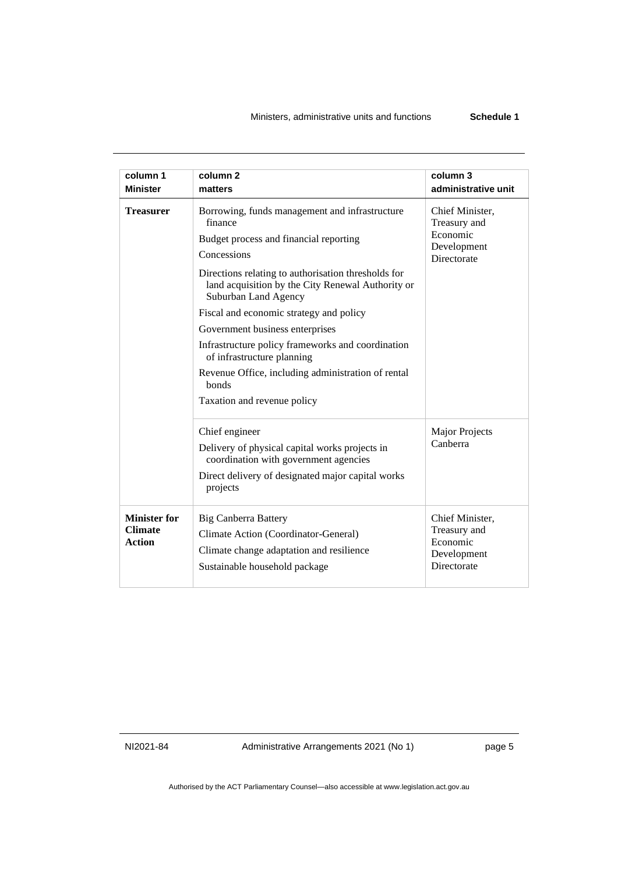#### Ministers, administrative units and functions **Schedule 1**

| column 1<br><b>Minister</b>                            | column <sub>2</sub><br>matters                                                                                                                                                                                                                                                                                                                                                                                                                                                                                        | column 3<br>administrative unit                                           |
|--------------------------------------------------------|-----------------------------------------------------------------------------------------------------------------------------------------------------------------------------------------------------------------------------------------------------------------------------------------------------------------------------------------------------------------------------------------------------------------------------------------------------------------------------------------------------------------------|---------------------------------------------------------------------------|
| <b>Treasurer</b>                                       | Borrowing, funds management and infrastructure<br>finance<br>Budget process and financial reporting<br>Concessions<br>Directions relating to authorisation thresholds for<br>land acquisition by the City Renewal Authority or<br>Suburban Land Agency<br>Fiscal and economic strategy and policy<br>Government business enterprises<br>Infrastructure policy frameworks and coordination<br>of infrastructure planning<br>Revenue Office, including administration of rental<br>bonds<br>Taxation and revenue policy | Chief Minister,<br>Treasury and<br>Economic<br>Development<br>Directorate |
|                                                        | Chief engineer<br>Delivery of physical capital works projects in<br>coordination with government agencies<br>Direct delivery of designated major capital works<br>projects                                                                                                                                                                                                                                                                                                                                            | <b>Major Projects</b><br>Canberra                                         |
| <b>Minister for</b><br><b>Climate</b><br><b>Action</b> | <b>Big Canberra Battery</b><br>Climate Action (Coordinator-General)<br>Climate change adaptation and resilience<br>Sustainable household package                                                                                                                                                                                                                                                                                                                                                                      | Chief Minister,<br>Treasury and<br>Economic<br>Development<br>Directorate |

NI2021-84 Administrative Arrangements 2021 (No 1) page 5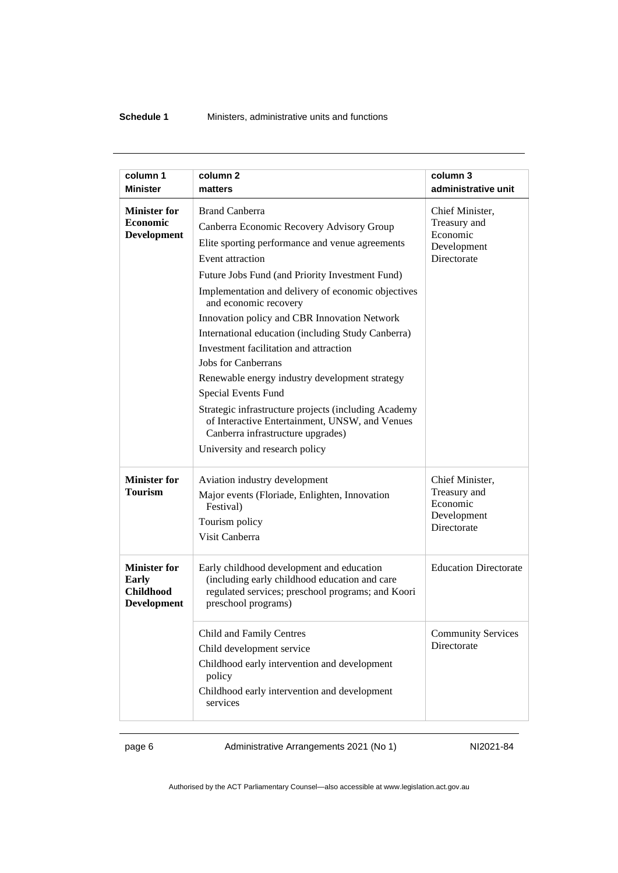#### **Schedule 1** Ministers, administrative units and functions

| column 1                                                                      | column <sub>2</sub>                                                                                                                                                                                                                                                                                                                                                                                                                                                                                                                                                                                                                                                                                          | column 3                                                                  |
|-------------------------------------------------------------------------------|--------------------------------------------------------------------------------------------------------------------------------------------------------------------------------------------------------------------------------------------------------------------------------------------------------------------------------------------------------------------------------------------------------------------------------------------------------------------------------------------------------------------------------------------------------------------------------------------------------------------------------------------------------------------------------------------------------------|---------------------------------------------------------------------------|
| <b>Minister</b>                                                               | matters                                                                                                                                                                                                                                                                                                                                                                                                                                                                                                                                                                                                                                                                                                      | administrative unit                                                       |
| <b>Minister for</b><br><b>Economic</b><br><b>Development</b>                  | <b>Brand Canberra</b><br>Canberra Economic Recovery Advisory Group<br>Elite sporting performance and venue agreements<br>Event attraction<br>Future Jobs Fund (and Priority Investment Fund)<br>Implementation and delivery of economic objectives<br>and economic recovery<br>Innovation policy and CBR Innovation Network<br>International education (including Study Canberra)<br>Investment facilitation and attraction<br>Jobs for Canberrans<br>Renewable energy industry development strategy<br>Special Events Fund<br>Strategic infrastructure projects (including Academy<br>of Interactive Entertainment, UNSW, and Venues<br>Canberra infrastructure upgrades)<br>University and research policy | Chief Minister,<br>Treasury and<br>Economic<br>Development<br>Directorate |
| <b>Minister for</b><br><b>Tourism</b>                                         | Aviation industry development<br>Major events (Floriade, Enlighten, Innovation<br>Festival)<br>Tourism policy<br>Visit Canberra                                                                                                                                                                                                                                                                                                                                                                                                                                                                                                                                                                              | Chief Minister,<br>Treasury and<br>Economic<br>Development<br>Directorate |
| <b>Minister for</b><br><b>Early</b><br><b>Childhood</b><br><b>Development</b> | Early childhood development and education<br>(including early childhood education and care<br>regulated services; preschool programs; and Koori<br>preschool programs)                                                                                                                                                                                                                                                                                                                                                                                                                                                                                                                                       | <b>Education Directorate</b>                                              |
|                                                                               | Child and Family Centres<br>Child development service<br>Childhood early intervention and development<br>policy<br>Childhood early intervention and development<br>services                                                                                                                                                                                                                                                                                                                                                                                                                                                                                                                                  | <b>Community Services</b><br>Directorate                                  |

page 6 Administrative Arrangements 2021 (No 1) NI2021-84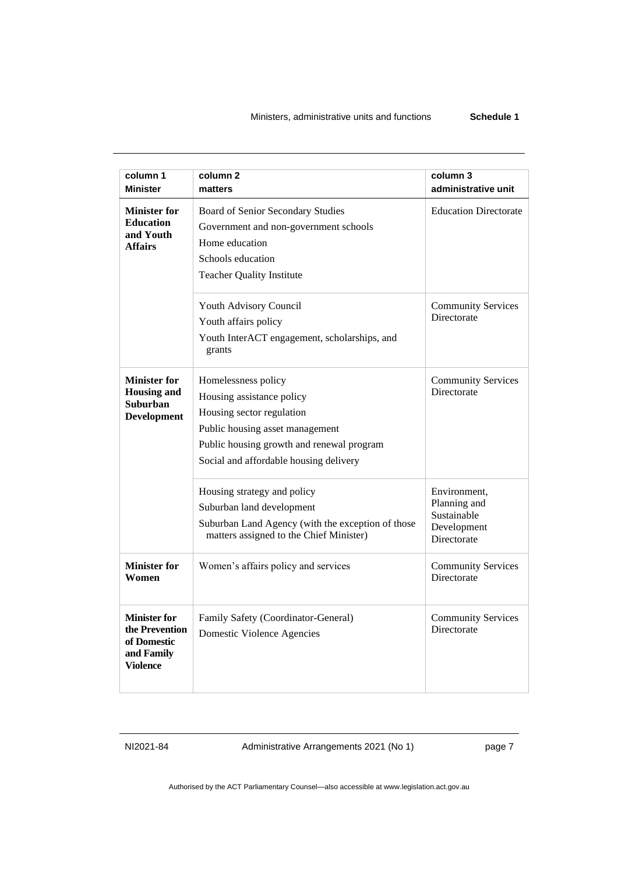| column 1<br><b>Minister</b>                                                           | column <sub>2</sub><br>matters                                                                                                                                                                          | column 3<br>administrative unit                                           |
|---------------------------------------------------------------------------------------|---------------------------------------------------------------------------------------------------------------------------------------------------------------------------------------------------------|---------------------------------------------------------------------------|
| <b>Minister for</b><br><b>Education</b><br>and Youth<br><b>Affairs</b>                | Board of Senior Secondary Studies<br>Government and non-government schools<br>Home education<br>Schools education<br><b>Teacher Quality Institute</b>                                                   | <b>Education Directorate</b>                                              |
|                                                                                       | Youth Advisory Council<br>Youth affairs policy<br>Youth InterACT engagement, scholarships, and<br>grants                                                                                                | <b>Community Services</b><br>Directorate                                  |
| <b>Minister for</b><br><b>Housing and</b><br><b>Suburban</b><br><b>Development</b>    | Homelessness policy<br>Housing assistance policy<br>Housing sector regulation<br>Public housing asset management<br>Public housing growth and renewal program<br>Social and affordable housing delivery | <b>Community Services</b><br>Directorate                                  |
|                                                                                       | Housing strategy and policy<br>Suburban land development<br>Suburban Land Agency (with the exception of those<br>matters assigned to the Chief Minister)                                                | Environment,<br>Planning and<br>Sustainable<br>Development<br>Directorate |
| <b>Minister for</b><br>Women                                                          | Women's affairs policy and services                                                                                                                                                                     | <b>Community Services</b><br>Directorate                                  |
| <b>Minister for</b><br>the Prevention<br>of Domestic<br>and Family<br><b>Violence</b> | Family Safety (Coordinator-General)<br>Domestic Violence Agencies                                                                                                                                       | <b>Community Services</b><br>Directorate                                  |

NI2021-84 Administrative Arrangements 2021 (No 1) page 7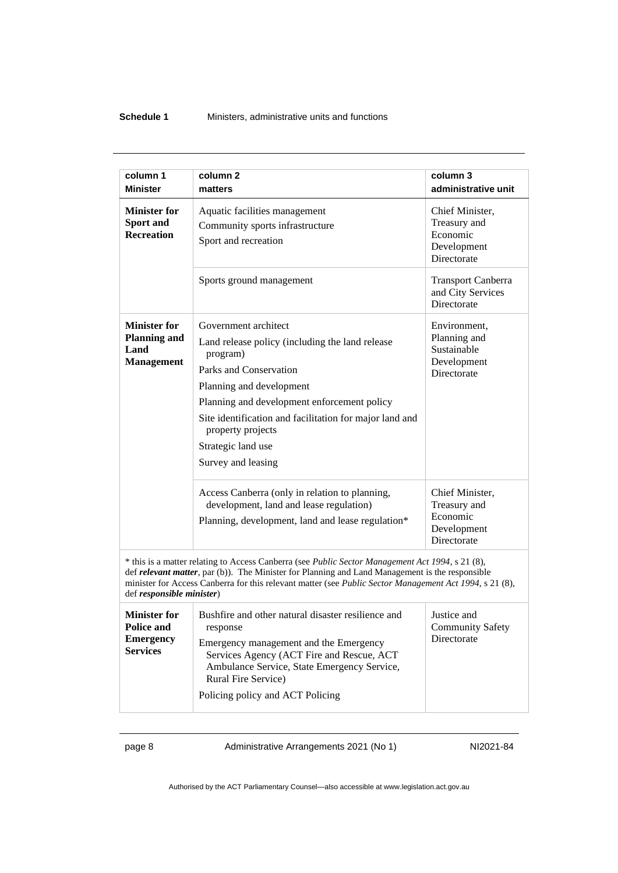#### **Schedule 1** Ministers, administrative units and functions

| column 1                                                                                                                                                                                                                                                                                                                                    | column <sub>2</sub>                                                                                                                                                                                                                                                                                                  | column 3                                                                  |
|---------------------------------------------------------------------------------------------------------------------------------------------------------------------------------------------------------------------------------------------------------------------------------------------------------------------------------------------|----------------------------------------------------------------------------------------------------------------------------------------------------------------------------------------------------------------------------------------------------------------------------------------------------------------------|---------------------------------------------------------------------------|
| <b>Minister</b>                                                                                                                                                                                                                                                                                                                             | matters                                                                                                                                                                                                                                                                                                              | administrative unit                                                       |
| <b>Minister for</b><br>Sport and<br><b>Recreation</b>                                                                                                                                                                                                                                                                                       | Aquatic facilities management<br>Community sports infrastructure<br>Sport and recreation                                                                                                                                                                                                                             | Chief Minister,<br>Treasury and<br>Economic<br>Development<br>Directorate |
|                                                                                                                                                                                                                                                                                                                                             | Sports ground management                                                                                                                                                                                                                                                                                             | <b>Transport Canberra</b><br>and City Services<br>Directorate             |
| <b>Minister for</b><br><b>Planning and</b><br>Land<br><b>Management</b>                                                                                                                                                                                                                                                                     | Government architect<br>Land release policy (including the land release<br>program)<br>Parks and Conservation<br>Planning and development<br>Planning and development enforcement policy<br>Site identification and facilitation for major land and<br>property projects<br>Strategic land use<br>Survey and leasing | Environment,<br>Planning and<br>Sustainable<br>Development<br>Directorate |
|                                                                                                                                                                                                                                                                                                                                             | Access Canberra (only in relation to planning,<br>development, land and lease regulation)<br>Planning, development, land and lease regulation*                                                                                                                                                                       | Chief Minister,<br>Treasury and<br>Economic<br>Development<br>Directorate |
| * this is a matter relating to Access Canberra (see Public Sector Management Act 1994, s 21 (8),<br>def relevant matter, par (b)). The Minister for Planning and Land Management is the responsible<br>minister for Access Canberra for this relevant matter (see Public Sector Management Act 1994, s 21 (8),<br>def responsible minister) |                                                                                                                                                                                                                                                                                                                      |                                                                           |
| <b>Minister for</b><br><b>Police and</b><br><b>Emergency</b><br><b>Services</b>                                                                                                                                                                                                                                                             | Bushfire and other natural disaster resilience and<br>response<br>Emergency management and the Emergency<br>Services Agency (ACT Fire and Rescue, ACT<br>Ambulance Service, State Emergency Service,<br>Rural Fire Service)<br>Policing policy and ACT Policing                                                      | Justice and<br><b>Community Safety</b><br>Directorate                     |

page 8 Administrative Arrangements 2021 (No 1) NI2021-84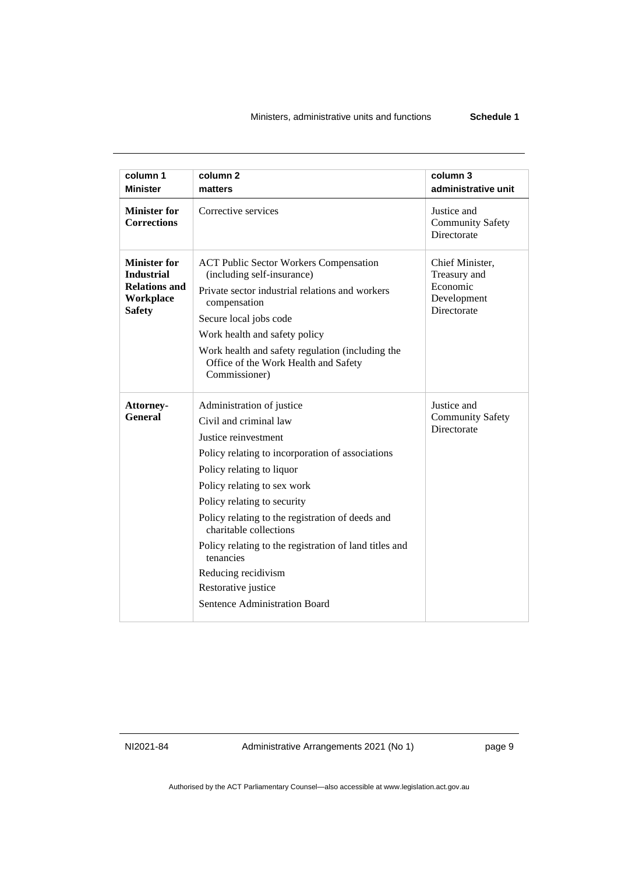| column 1                                                                                       | column <sub>2</sub>                                                                                                                                                                                                                                                                                                                                                                                                                                            | column 3                                                                  |
|------------------------------------------------------------------------------------------------|----------------------------------------------------------------------------------------------------------------------------------------------------------------------------------------------------------------------------------------------------------------------------------------------------------------------------------------------------------------------------------------------------------------------------------------------------------------|---------------------------------------------------------------------------|
| <b>Minister</b>                                                                                | matters                                                                                                                                                                                                                                                                                                                                                                                                                                                        | administrative unit                                                       |
| <b>Minister for</b><br><b>Corrections</b>                                                      | Corrective services                                                                                                                                                                                                                                                                                                                                                                                                                                            | Justice and<br><b>Community Safety</b><br>Directorate                     |
| <b>Minister for</b><br><b>Industrial</b><br><b>Relations and</b><br>Workplace<br><b>Safety</b> | <b>ACT Public Sector Workers Compensation</b><br>(including self-insurance)<br>Private sector industrial relations and workers<br>compensation<br>Secure local jobs code<br>Work health and safety policy<br>Work health and safety regulation (including the<br>Office of the Work Health and Safety<br>Commissioner)                                                                                                                                         | Chief Minister,<br>Treasury and<br>Economic<br>Development<br>Directorate |
| Attorney-<br><b>General</b>                                                                    | Administration of justice<br>Civil and criminal law<br>Justice reinvestment<br>Policy relating to incorporation of associations<br>Policy relating to liquor<br>Policy relating to sex work<br>Policy relating to security<br>Policy relating to the registration of deeds and<br>charitable collections<br>Policy relating to the registration of land titles and<br>tenancies<br>Reducing recidivism<br>Restorative justice<br>Sentence Administration Board | Justice and<br><b>Community Safety</b><br>Directorate                     |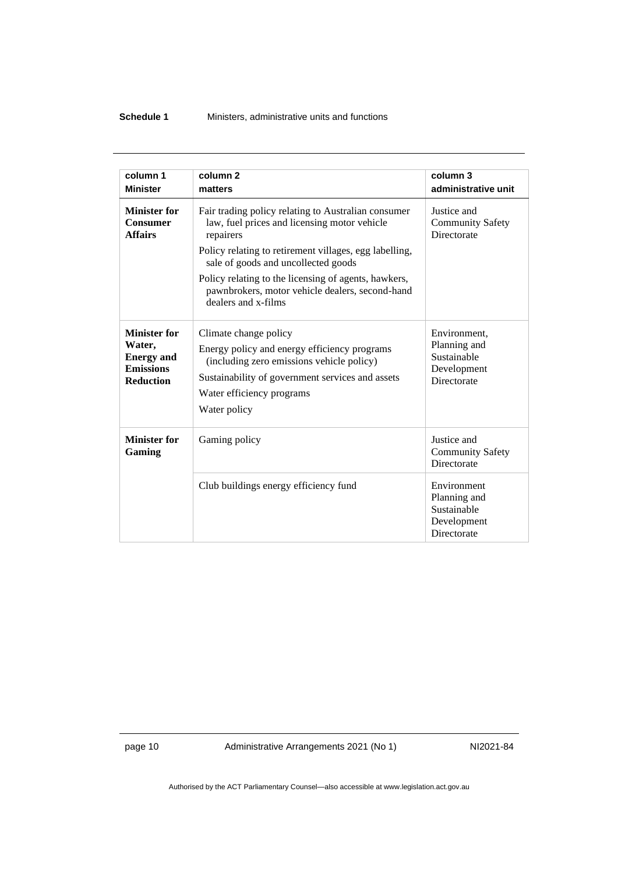#### **Schedule 1** Ministers, administrative units and functions

| column 1                                                                                   | column <sub>2</sub>                                                                                                                                                                                                                                                                                                                                 | column 3                                                                  |
|--------------------------------------------------------------------------------------------|-----------------------------------------------------------------------------------------------------------------------------------------------------------------------------------------------------------------------------------------------------------------------------------------------------------------------------------------------------|---------------------------------------------------------------------------|
| <b>Minister</b>                                                                            | matters                                                                                                                                                                                                                                                                                                                                             | administrative unit                                                       |
| <b>Minister for</b><br><b>Consumer</b><br><b>Affairs</b>                                   | Fair trading policy relating to Australian consumer<br>law, fuel prices and licensing motor vehicle<br>repairers<br>Policy relating to retirement villages, egg labelling,<br>sale of goods and uncollected goods<br>Policy relating to the licensing of agents, hawkers,<br>pawnbrokers, motor vehicle dealers, second-hand<br>dealers and x-films | Justice and<br><b>Community Safety</b><br>Directorate                     |
| <b>Minister for</b><br>Water.<br><b>Energy and</b><br><b>Emissions</b><br><b>Reduction</b> | Climate change policy<br>Energy policy and energy efficiency programs<br>(including zero emissions vehicle policy)<br>Sustainability of government services and assets<br>Water efficiency programs<br>Water policy                                                                                                                                 | Environment,<br>Planning and<br>Sustainable<br>Development<br>Directorate |
| <b>Minister for</b><br>Gaming                                                              | Gaming policy                                                                                                                                                                                                                                                                                                                                       | Justice and<br><b>Community Safety</b><br>Directorate                     |
|                                                                                            | Club buildings energy efficiency fund                                                                                                                                                                                                                                                                                                               | Environment<br>Planning and<br>Sustainable<br>Development<br>Directorate  |

page 10 Administrative Arrangements 2021 (No 1) NI2021-84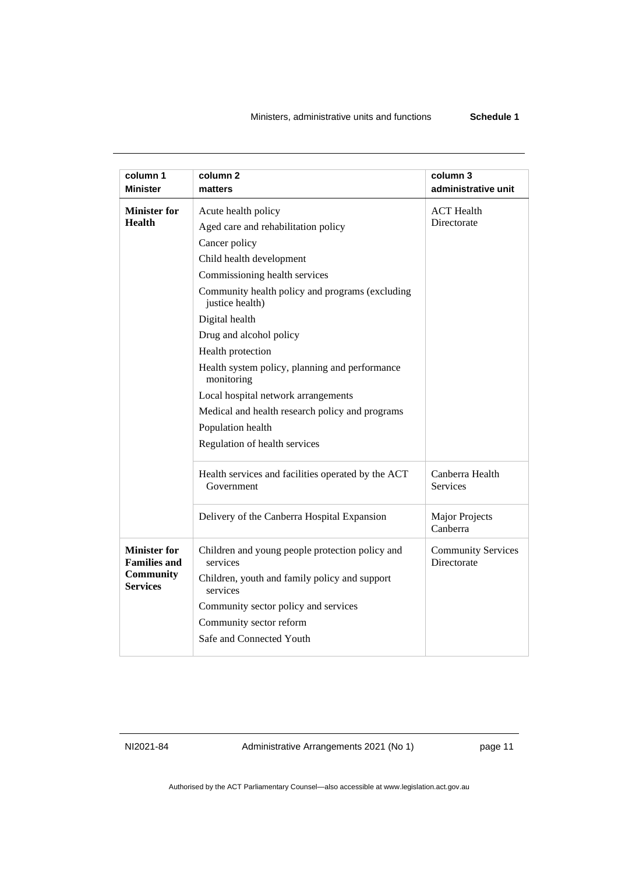| column 1<br><b>Minister</b>                | column 2<br>matters                                                | column 3<br>administrative unit          |
|--------------------------------------------|--------------------------------------------------------------------|------------------------------------------|
| <b>Minister for</b>                        | Acute health policy                                                | <b>ACT</b> Health                        |
| <b>Health</b>                              | Aged care and rehabilitation policy                                | Directorate                              |
|                                            | Cancer policy                                                      |                                          |
|                                            | Child health development                                           |                                          |
|                                            | Commissioning health services                                      |                                          |
|                                            | Community health policy and programs (excluding<br>justice health) |                                          |
|                                            | Digital health                                                     |                                          |
|                                            | Drug and alcohol policy                                            |                                          |
|                                            | Health protection                                                  |                                          |
|                                            | Health system policy, planning and performance<br>monitoring       |                                          |
|                                            | Local hospital network arrangements                                |                                          |
|                                            | Medical and health research policy and programs                    |                                          |
|                                            | Population health                                                  |                                          |
|                                            | Regulation of health services                                      |                                          |
|                                            | Health services and facilities operated by the ACT<br>Government   | Canberra Health<br>Services              |
|                                            | Delivery of the Canberra Hospital Expansion                        | Major Projects<br>Canberra               |
| <b>Minister for</b><br><b>Families and</b> | Children and young people protection policy and<br>services        | <b>Community Services</b><br>Directorate |
| <b>Community</b><br><b>Services</b>        | Children, youth and family policy and support<br>services          |                                          |
|                                            | Community sector policy and services                               |                                          |
|                                            | Community sector reform                                            |                                          |
|                                            | Safe and Connected Youth                                           |                                          |
|                                            |                                                                    |                                          |

NI2021-84 Administrative Arrangements 2021 (No 1) page 11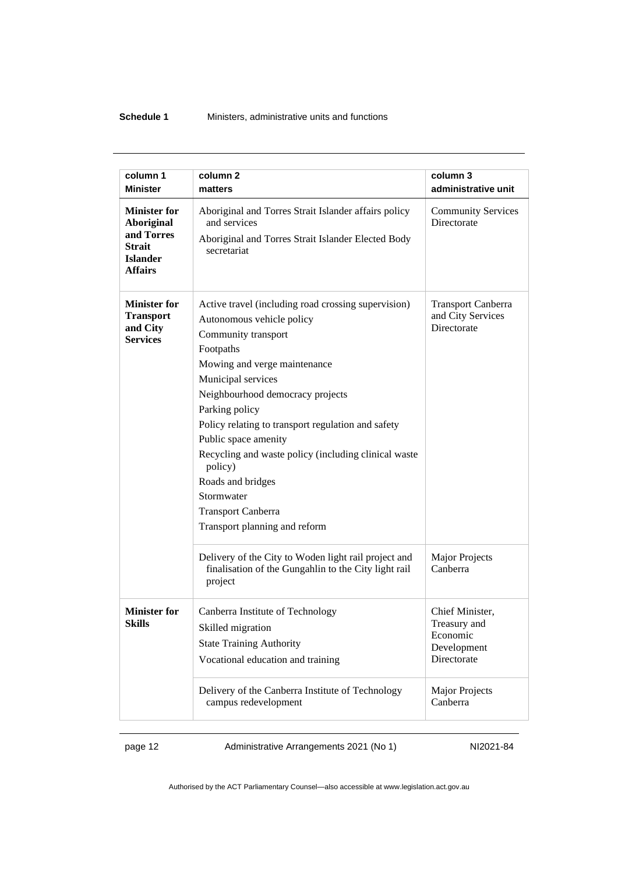#### **Schedule 1** Ministers, administrative units and functions

| column 1                                                                                                     | column 2                                                                                                                                                                                                                                                                                                                                                                                                                                                                           | column 3                                                                  |
|--------------------------------------------------------------------------------------------------------------|------------------------------------------------------------------------------------------------------------------------------------------------------------------------------------------------------------------------------------------------------------------------------------------------------------------------------------------------------------------------------------------------------------------------------------------------------------------------------------|---------------------------------------------------------------------------|
| <b>Minister</b>                                                                                              | matters                                                                                                                                                                                                                                                                                                                                                                                                                                                                            | administrative unit                                                       |
| <b>Minister for</b><br><b>Aboriginal</b><br>and Torres<br><b>Strait</b><br><b>Islander</b><br><b>Affairs</b> | Aboriginal and Torres Strait Islander affairs policy<br>and services<br>Aboriginal and Torres Strait Islander Elected Body<br>secretariat                                                                                                                                                                                                                                                                                                                                          | <b>Community Services</b><br>Directorate                                  |
| <b>Minister for</b><br><b>Transport</b><br>and City<br><b>Services</b>                                       | Active travel (including road crossing supervision)<br>Autonomous vehicle policy<br>Community transport<br>Footpaths<br>Mowing and verge maintenance<br>Municipal services<br>Neighbourhood democracy projects<br>Parking policy<br>Policy relating to transport regulation and safety<br>Public space amenity<br>Recycling and waste policy (including clinical waste<br>policy)<br>Roads and bridges<br>Stormwater<br><b>Transport Canberra</b><br>Transport planning and reform | <b>Transport Canberra</b><br>and City Services<br>Directorate             |
|                                                                                                              | Delivery of the City to Woden light rail project and<br>finalisation of the Gungahlin to the City light rail<br>project                                                                                                                                                                                                                                                                                                                                                            | <b>Major Projects</b><br>Canberra                                         |
| <b>Minister for</b><br>Skills                                                                                | Canberra Institute of Technology<br>Skilled migration<br><b>State Training Authority</b><br>Vocational education and training                                                                                                                                                                                                                                                                                                                                                      | Chief Minister,<br>Treasury and<br>Economic<br>Development<br>Directorate |
|                                                                                                              | Delivery of the Canberra Institute of Technology<br>campus redevelopment                                                                                                                                                                                                                                                                                                                                                                                                           | <b>Major Projects</b><br>Canberra                                         |

page 12 Administrative Arrangements 2021 (No 1) NI2021-84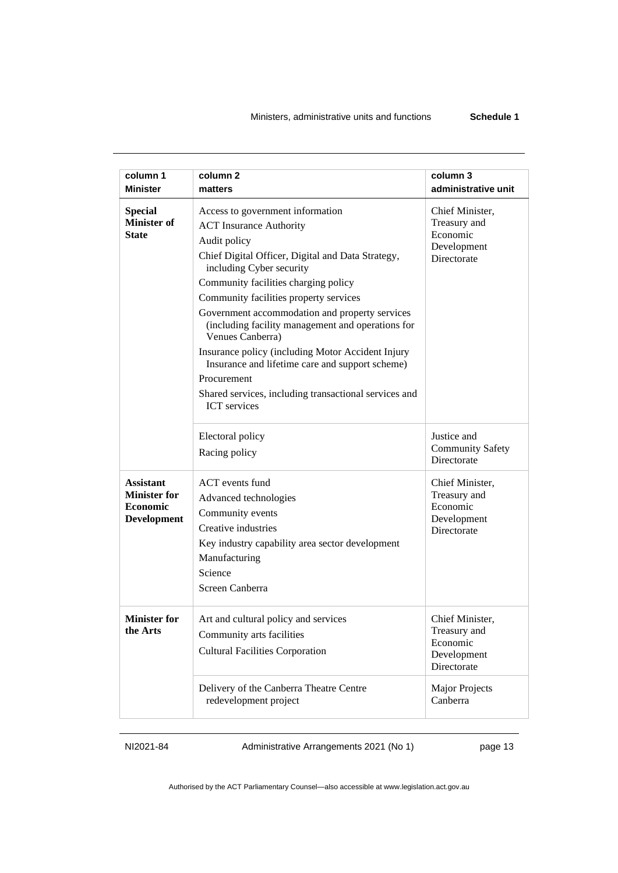#### Ministers, administrative units and functions **Schedule 1**

| column 1<br><b>Minister</b>                                                      | column <sub>2</sub><br>matters                                                                                                                                                                                                                                                                                                                                                                                                                                                                                                                                                          | column 3<br>administrative unit                                           |
|----------------------------------------------------------------------------------|-----------------------------------------------------------------------------------------------------------------------------------------------------------------------------------------------------------------------------------------------------------------------------------------------------------------------------------------------------------------------------------------------------------------------------------------------------------------------------------------------------------------------------------------------------------------------------------------|---------------------------------------------------------------------------|
|                                                                                  |                                                                                                                                                                                                                                                                                                                                                                                                                                                                                                                                                                                         |                                                                           |
| <b>Special</b><br><b>Minister of</b><br><b>State</b>                             | Access to government information<br><b>ACT</b> Insurance Authority<br>Audit policy<br>Chief Digital Officer, Digital and Data Strategy,<br>including Cyber security<br>Community facilities charging policy<br>Community facilities property services<br>Government accommodation and property services<br>(including facility management and operations for<br>Venues Canberra)<br>Insurance policy (including Motor Accident Injury<br>Insurance and lifetime care and support scheme)<br>Procurement<br>Shared services, including transactional services and<br><b>ICT</b> services | Chief Minister,<br>Treasury and<br>Economic<br>Development<br>Directorate |
|                                                                                  | Electoral policy<br>Racing policy                                                                                                                                                                                                                                                                                                                                                                                                                                                                                                                                                       | Justice and<br><b>Community Safety</b><br>Directorate                     |
| <b>Assistant</b><br><b>Minister for</b><br><b>Economic</b><br><b>Development</b> | <b>ACT</b> events fund<br>Advanced technologies<br>Community events<br>Creative industries<br>Key industry capability area sector development<br>Manufacturing<br>Science<br>Screen Canberra                                                                                                                                                                                                                                                                                                                                                                                            | Chief Minister,<br>Treasury and<br>Economic<br>Development<br>Directorate |
| <b>Minister for</b><br>the Arts                                                  | Art and cultural policy and services<br>Community arts facilities<br><b>Cultural Facilities Corporation</b>                                                                                                                                                                                                                                                                                                                                                                                                                                                                             | Chief Minister,<br>Treasury and<br>Economic<br>Development<br>Directorate |
|                                                                                  | Delivery of the Canberra Theatre Centre<br>redevelopment project                                                                                                                                                                                                                                                                                                                                                                                                                                                                                                                        | <b>Major Projects</b><br>Canberra                                         |

NI2021-84 Administrative Arrangements 2021 (No 1) page 13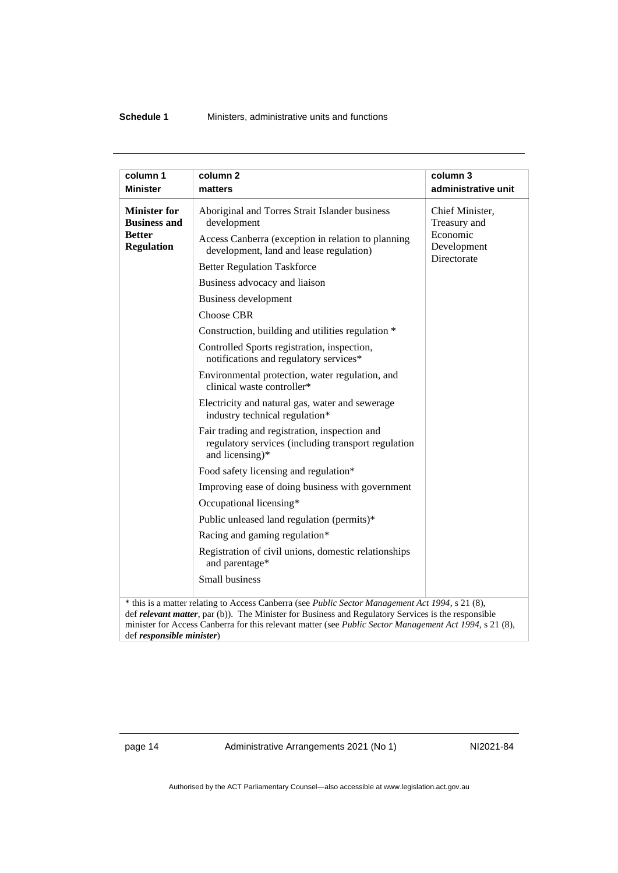#### **Schedule 1** Ministers, administrative units and functions

| column 1                                                                         | column <sub>2</sub>                                                                                                                                                                                     | column 3                                                   |
|----------------------------------------------------------------------------------|---------------------------------------------------------------------------------------------------------------------------------------------------------------------------------------------------------|------------------------------------------------------------|
| <b>Minister</b>                                                                  | matters                                                                                                                                                                                                 | administrative unit                                        |
|                                                                                  |                                                                                                                                                                                                         |                                                            |
| <b>Minister for</b><br><b>Business and</b><br><b>Better</b><br><b>Regulation</b> | Aboriginal and Torres Strait Islander business<br>development<br>Access Canberra (exception in relation to planning                                                                                     | Chief Minister,<br>Treasury and<br>Economic<br>Development |
|                                                                                  | development, land and lease regulation)                                                                                                                                                                 | Directorate                                                |
|                                                                                  | <b>Better Regulation Taskforce</b>                                                                                                                                                                      |                                                            |
|                                                                                  | Business advocacy and liaison                                                                                                                                                                           |                                                            |
|                                                                                  | <b>Business development</b>                                                                                                                                                                             |                                                            |
|                                                                                  | Choose CBR                                                                                                                                                                                              |                                                            |
|                                                                                  | Construction, building and utilities regulation *                                                                                                                                                       |                                                            |
|                                                                                  | Controlled Sports registration, inspection,<br>notifications and regulatory services*                                                                                                                   |                                                            |
|                                                                                  | Environmental protection, water regulation, and<br>clinical waste controller*                                                                                                                           |                                                            |
|                                                                                  | Electricity and natural gas, water and sewerage<br>industry technical regulation*                                                                                                                       |                                                            |
|                                                                                  | Fair trading and registration, inspection and<br>regulatory services (including transport regulation<br>and licensing)*                                                                                 |                                                            |
|                                                                                  | Food safety licensing and regulation*                                                                                                                                                                   |                                                            |
|                                                                                  | Improving ease of doing business with government                                                                                                                                                        |                                                            |
|                                                                                  | Occupational licensing*                                                                                                                                                                                 |                                                            |
|                                                                                  | Public unleased land regulation (permits)*                                                                                                                                                              |                                                            |
|                                                                                  | Racing and gaming regulation*                                                                                                                                                                           |                                                            |
|                                                                                  | Registration of civil unions, domestic relationships<br>and parentage*                                                                                                                                  |                                                            |
|                                                                                  | Small business                                                                                                                                                                                          |                                                            |
|                                                                                  | * this is a matter relating to Access Canberra (see Public Sector Management Act 1994, s 21 (8),<br>defined water matter non (b)). The Minister for Ducinese and Deculatory Corriere is the responsible |                                                            |

def *relevant matter*, par (b)). The Minister for Business and Regulatory Services is the responsible minister for Access Canberra for this relevant matter (see *Public Sector Management Act 1994,* s 21 (8), def *responsible minister*)

page 14 Administrative Arrangements 2021 (No 1) NI2021-84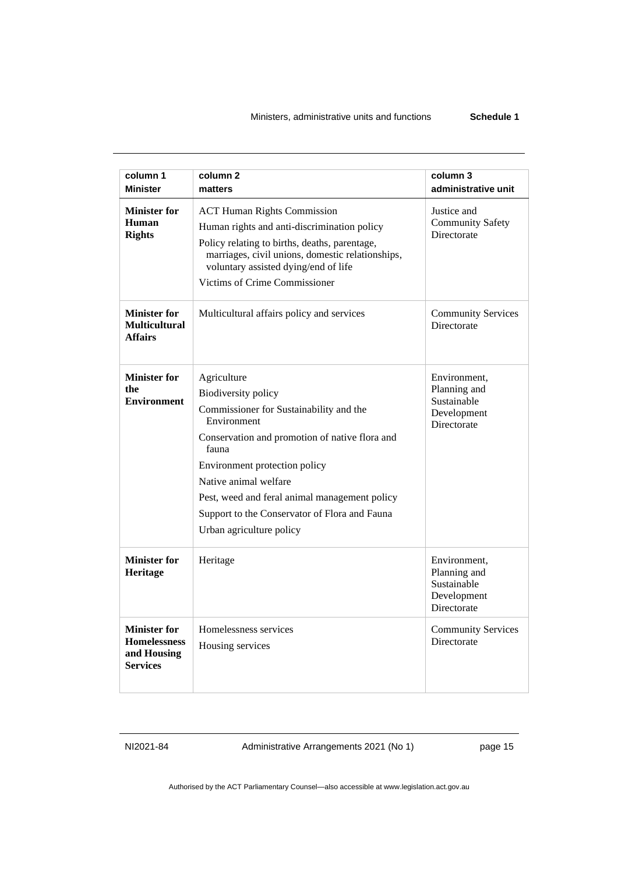#### Ministers, administrative units and functions **Schedule 1**

| column 1                                                                     | column <sub>2</sub>                                                                                                                                                                                                                                                                                                                                    | column 3                                                                  |
|------------------------------------------------------------------------------|--------------------------------------------------------------------------------------------------------------------------------------------------------------------------------------------------------------------------------------------------------------------------------------------------------------------------------------------------------|---------------------------------------------------------------------------|
| <b>Minister</b>                                                              | matters                                                                                                                                                                                                                                                                                                                                                | administrative unit                                                       |
| <b>Minister for</b><br>Human<br><b>Rights</b>                                | <b>ACT Human Rights Commission</b><br>Human rights and anti-discrimination policy<br>Policy relating to births, deaths, parentage,<br>marriages, civil unions, domestic relationships,<br>voluntary assisted dying/end of life<br>Victims of Crime Commissioner                                                                                        | Justice and<br><b>Community Safety</b><br>Directorate                     |
| <b>Minister for</b><br><b>Multicultural</b><br><b>Affairs</b>                | Multicultural affairs policy and services                                                                                                                                                                                                                                                                                                              | <b>Community Services</b><br>Directorate                                  |
| <b>Minister for</b><br>the<br><b>Environment</b>                             | Agriculture<br><b>Biodiversity policy</b><br>Commissioner for Sustainability and the<br>Environment<br>Conservation and promotion of native flora and<br>fauna<br>Environment protection policy<br>Native animal welfare<br>Pest, weed and feral animal management policy<br>Support to the Conservator of Flora and Fauna<br>Urban agriculture policy | Environment,<br>Planning and<br>Sustainable<br>Development<br>Directorate |
| <b>Minister for</b><br>Heritage                                              | Heritage                                                                                                                                                                                                                                                                                                                                               | Environment,<br>Planning and<br>Sustainable<br>Development<br>Directorate |
| <b>Minister for</b><br><b>Homelessness</b><br>and Housing<br><b>Services</b> | Homelessness services<br>Housing services                                                                                                                                                                                                                                                                                                              | <b>Community Services</b><br>Directorate                                  |

NI2021-84 Administrative Arrangements 2021 (No 1) page 15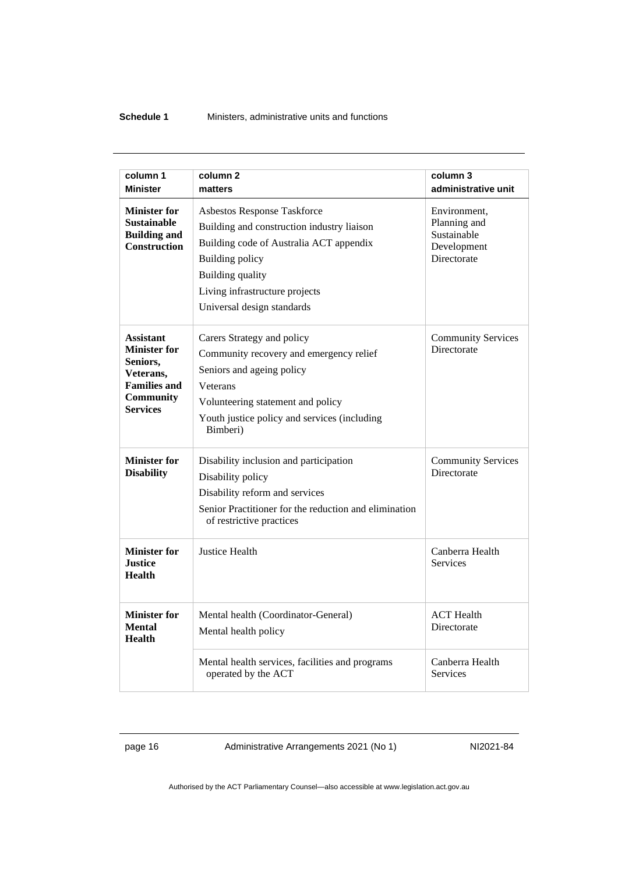#### **Schedule 1** Ministers, administrative units and functions

| column 1                                                                                                                       | column <sub>2</sub>                                                                                                                                                                                                                       | column 3                                                                  |
|--------------------------------------------------------------------------------------------------------------------------------|-------------------------------------------------------------------------------------------------------------------------------------------------------------------------------------------------------------------------------------------|---------------------------------------------------------------------------|
| <b>Minister</b>                                                                                                                | matters                                                                                                                                                                                                                                   | administrative unit                                                       |
| <b>Minister for</b><br><b>Sustainable</b><br><b>Building and</b><br><b>Construction</b>                                        | Asbestos Response Taskforce<br>Building and construction industry liaison<br>Building code of Australia ACT appendix<br><b>Building policy</b><br><b>Building quality</b><br>Living infrastructure projects<br>Universal design standards | Environment,<br>Planning and<br>Sustainable<br>Development<br>Directorate |
| <b>Assistant</b><br><b>Minister for</b><br>Seniors,<br>Veterans,<br><b>Families and</b><br><b>Community</b><br><b>Services</b> | Carers Strategy and policy<br>Community recovery and emergency relief<br>Seniors and ageing policy<br><b>Veterans</b><br>Volunteering statement and policy<br>Youth justice policy and services (including<br>Bimberi)                    | <b>Community Services</b><br>Directorate                                  |
| <b>Minister for</b><br><b>Disability</b>                                                                                       | Disability inclusion and participation<br>Disability policy<br>Disability reform and services<br>Senior Practitioner for the reduction and elimination<br>of restrictive practices                                                        | <b>Community Services</b><br>Directorate                                  |
| <b>Minister for</b><br><b>Justice</b><br><b>Health</b>                                                                         | Justice Health                                                                                                                                                                                                                            | Canberra Health<br><b>Services</b>                                        |
| <b>Minister for</b><br><b>Mental</b><br><b>Health</b>                                                                          | Mental health (Coordinator-General)<br>Mental health policy                                                                                                                                                                               | <b>ACT</b> Health<br>Directorate                                          |
|                                                                                                                                | Mental health services, facilities and programs<br>operated by the ACT                                                                                                                                                                    | Canberra Health<br><b>Services</b>                                        |

page 16 Administrative Arrangements 2021 (No 1) NI2021-84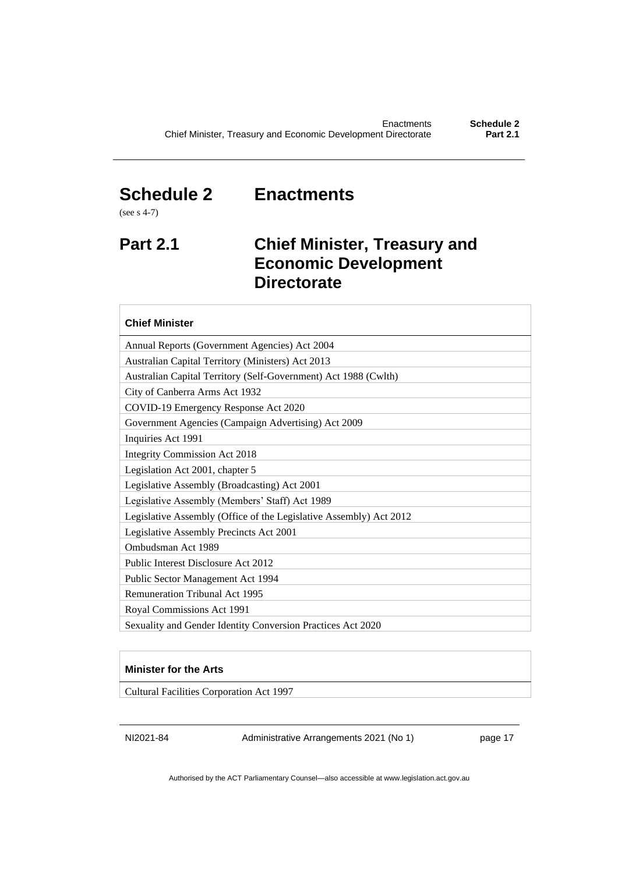### <span id="page-20-0"></span>**Schedule 2 Enactments**

**Directorate**

(see s 4-7)

# <span id="page-20-1"></span>**Part 2.1 Chief Minister, Treasury and Economic Development**

| <b>Chief Minister</b>                                              |
|--------------------------------------------------------------------|
| Annual Reports (Government Agencies) Act 2004                      |
| Australian Capital Territory (Ministers) Act 2013                  |
| Australian Capital Territory (Self-Government) Act 1988 (Cwlth)    |
| City of Canberra Arms Act 1932                                     |
| COVID-19 Emergency Response Act 2020                               |
| Government Agencies (Campaign Advertising) Act 2009                |
| Inquiries Act 1991                                                 |
| <b>Integrity Commission Act 2018</b>                               |
| Legislation Act 2001, chapter 5                                    |
| Legislative Assembly (Broadcasting) Act 2001                       |
| Legislative Assembly (Members' Staff) Act 1989                     |
| Legislative Assembly (Office of the Legislative Assembly) Act 2012 |
| Legislative Assembly Precincts Act 2001                            |
| Ombudsman Act 1989                                                 |
| Public Interest Disclosure Act 2012                                |
| Public Sector Management Act 1994                                  |
| <b>Remuneration Tribunal Act 1995</b>                              |
| Royal Commissions Act 1991                                         |
| Sexuality and Gender Identity Conversion Practices Act 2020        |

#### **Minister for the Arts**

Cultural Facilities Corporation Act 1997

NI2021-84 Administrative Arrangements 2021 (No 1) page 17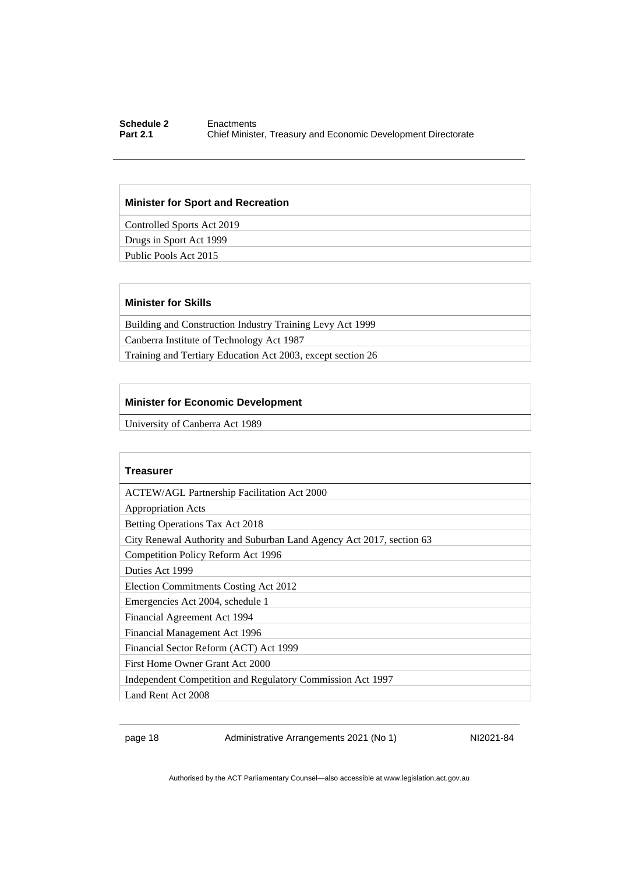#### **Schedule 2** Enactments<br> **Part 2.1** Chief Ministe **Chief Minister, Treasury and Economic Development Directorate**

#### **Minister for Sport and Recreation**

Controlled Sports Act 2019

Drugs in Sport Act 1999

Public Pools Act 2015

#### **Minister for Skills**

Building and Construction Industry Training Levy Act 1999 Canberra Institute of Technology Act 1987

Training and Tertiary Education Act 2003, except section 26

#### **Minister for Economic Development**

University of Canberra Act 1989

| Treasurer                                                            |
|----------------------------------------------------------------------|
| <b>ACTEW/AGL Partnership Facilitation Act 2000</b>                   |
| <b>Appropriation Acts</b>                                            |
| Betting Operations Tax Act 2018                                      |
| City Renewal Authority and Suburban Land Agency Act 2017, section 63 |
| Competition Policy Reform Act 1996                                   |
| Duties Act 1999                                                      |
| Election Commitments Costing Act 2012                                |
| Emergencies Act 2004, schedule 1                                     |
| Financial Agreement Act 1994                                         |
| Financial Management Act 1996                                        |
| Financial Sector Reform (ACT) Act 1999                               |
| First Home Owner Grant Act 2000                                      |
| Independent Competition and Regulatory Commission Act 1997           |
| Land Rent Act 2008                                                   |

page 18 Administrative Arrangements 2021 (No 1) NI2021-84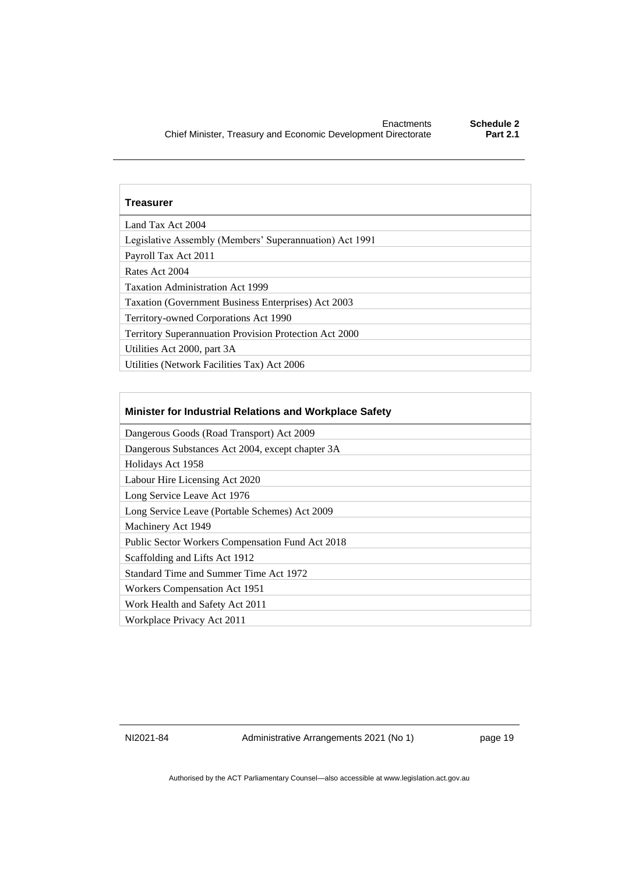| <b>Treasurer</b>                                              |
|---------------------------------------------------------------|
| Land Tax Act 2004                                             |
| Legislative Assembly (Members' Superannuation) Act 1991       |
| Payroll Tax Act 2011                                          |
| Rates Act 2004                                                |
| <b>Taxation Administration Act 1999</b>                       |
| Taxation (Government Business Enterprises) Act 2003           |
| Territory-owned Corporations Act 1990                         |
| <b>Territory Superannuation Provision Protection Act 2000</b> |
| Utilities Act 2000, part 3A                                   |
| Utilities (Network Facilities Tax) Act 2006                   |

| <b>Minister for Industrial Relations and Workplace Safety</b> |
|---------------------------------------------------------------|
| Dangerous Goods (Road Transport) Act 2009                     |
| Dangerous Substances Act 2004, except chapter 3A              |
| Holidays Act 1958                                             |
| Labour Hire Licensing Act 2020                                |
| Long Service Leave Act 1976                                   |
| Long Service Leave (Portable Schemes) Act 2009                |
| Machinery Act 1949                                            |
| Public Sector Workers Compensation Fund Act 2018              |
| Scaffolding and Lifts Act 1912                                |
| Standard Time and Summer Time Act 1972                        |
| Workers Compensation Act 1951                                 |
| Work Health and Safety Act 2011                               |
| Workplace Privacy Act 2011                                    |

NI2021-84 Administrative Arrangements 2021 (No 1) page 19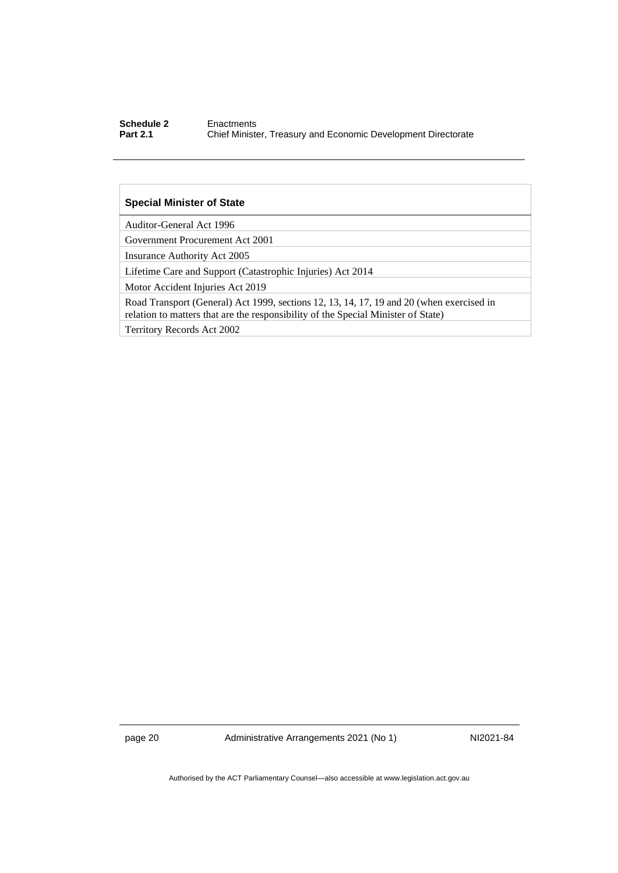#### **Schedule 2** Enactments<br> **Part 2.1** Chief Ministe **Chief Minister, Treasury and Economic Development Directorate**

#### **Special Minister of State**

Auditor-General Act 1996

Government Procurement Act 2001

Insurance Authority Act 2005

Lifetime Care and Support (Catastrophic Injuries) Act 2014

Motor Accident Injuries Act 2019

Road Transport (General) Act 1999, sections 12, 13, 14, 17, 19 and 20 (when exercised in relation to matters that are the responsibility of the Special Minister of State)

Territory Records Act 2002

page 20 Administrative Arrangements 2021 (No 1) NI2021-84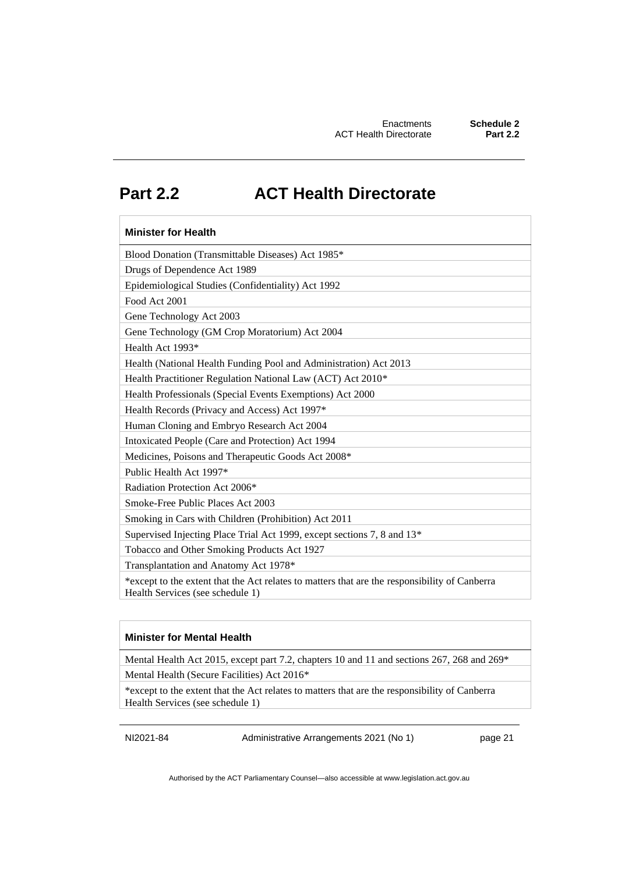### <span id="page-24-0"></span>**Part 2.2 ACT Health Directorate**

| <b>Minister for Health</b>                                                                                                        |
|-----------------------------------------------------------------------------------------------------------------------------------|
| Blood Donation (Transmittable Diseases) Act 1985*                                                                                 |
| Drugs of Dependence Act 1989                                                                                                      |
| Epidemiological Studies (Confidentiality) Act 1992                                                                                |
| Food Act 2001                                                                                                                     |
| Gene Technology Act 2003                                                                                                          |
| Gene Technology (GM Crop Moratorium) Act 2004                                                                                     |
| Health Act 1993*                                                                                                                  |
| Health (National Health Funding Pool and Administration) Act 2013                                                                 |
| Health Practitioner Regulation National Law (ACT) Act 2010*                                                                       |
| Health Professionals (Special Events Exemptions) Act 2000                                                                         |
| Health Records (Privacy and Access) Act 1997*                                                                                     |
| Human Cloning and Embryo Research Act 2004                                                                                        |
| Intoxicated People (Care and Protection) Act 1994                                                                                 |
| Medicines, Poisons and Therapeutic Goods Act 2008*                                                                                |
| Public Health Act 1997*                                                                                                           |
| Radiation Protection Act 2006*                                                                                                    |
| Smoke-Free Public Places Act 2003                                                                                                 |
| Smoking in Cars with Children (Prohibition) Act 2011                                                                              |
| Supervised Injecting Place Trial Act 1999, except sections 7, 8 and 13*                                                           |
| Tobacco and Other Smoking Products Act 1927                                                                                       |
| Transplantation and Anatomy Act 1978*                                                                                             |
| *except to the extent that the Act relates to matters that are the responsibility of Canberra<br>Health Services (see schedule 1) |

#### **Minister for Mental Health**

Mental Health Act 2015, except part 7.2, chapters 10 and 11 and sections 267, 268 and 269\*

Mental Health (Secure Facilities) Act 2016\*

\*except to the extent that the Act relates to matters that are the responsibility of Canberra Health Services (see schedule 1)

NI2021-84 Administrative Arrangements 2021 (No 1) page 21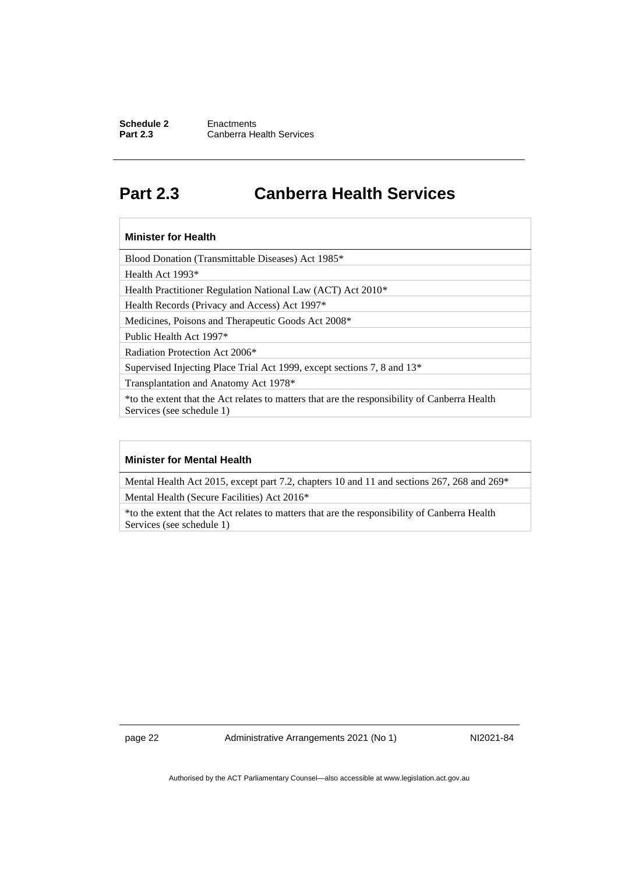#### **Schedule 2** Enactments<br> **Part 2.3** Canberra He **Canberra Health Services**

### <span id="page-25-0"></span>**Part 2.3 Canberra Health Services**

#### **Minister for Health**

Blood Donation (Transmittable Diseases) Act 1985\*

Health Act 1993\*

Health Practitioner Regulation National Law (ACT) Act 2010\*

Health Records (Privacy and Access) Act 1997\*

Medicines, Poisons and Therapeutic Goods Act 2008\*

Public Health Act 1997\*

Radiation Protection Act 2006\*

Supervised Injecting Place Trial Act 1999, except sections 7, 8 and 13\*

Transplantation and Anatomy Act 1978\*

\*to the extent that the Act relates to matters that are the responsibility of Canberra Health Services (see schedule 1)

#### **Minister for Mental Health**

Mental Health Act 2015, except part 7.2, chapters 10 and 11 and sections 267, 268 and 269\* Mental Health (Secure Facilities) Act 2016\*

\*to the extent that the Act relates to matters that are the responsibility of Canberra Health Services (see schedule 1)

page 22 Administrative Arrangements 2021 (No 1) NI2021-84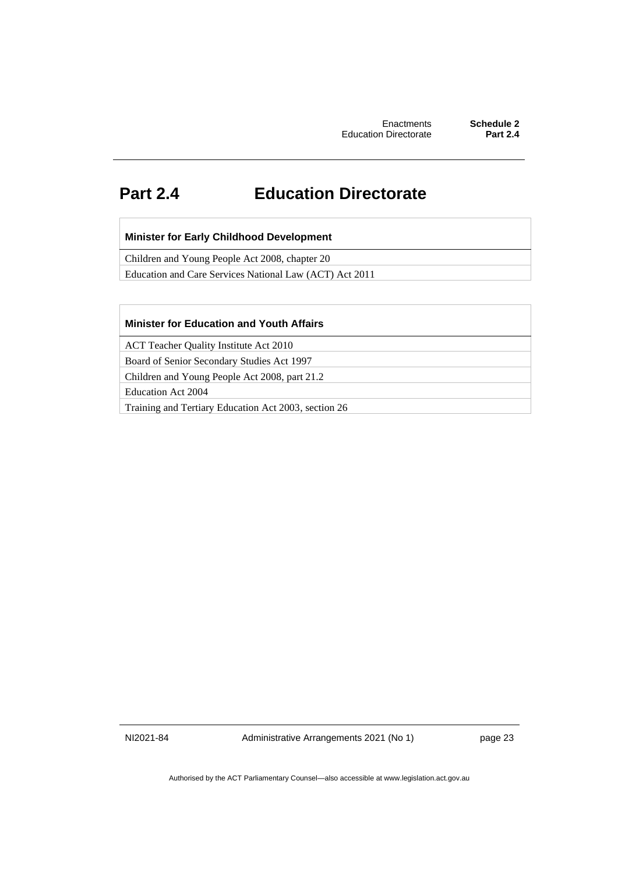### <span id="page-26-0"></span>**Part 2.4 Education Directorate**

#### **Minister for Early Childhood Development**

Children and Young People Act 2008, chapter 20

Education and Care Services National Law (ACT) Act 2011

#### **Minister for Education and Youth Affairs**

ACT Teacher Quality Institute Act 2010

Board of Senior Secondary Studies Act 1997

Children and Young People Act 2008, part 21.2

Education Act 2004

Training and Tertiary Education Act 2003, section 26

NI2021-84 Administrative Arrangements 2021 (No 1) page 23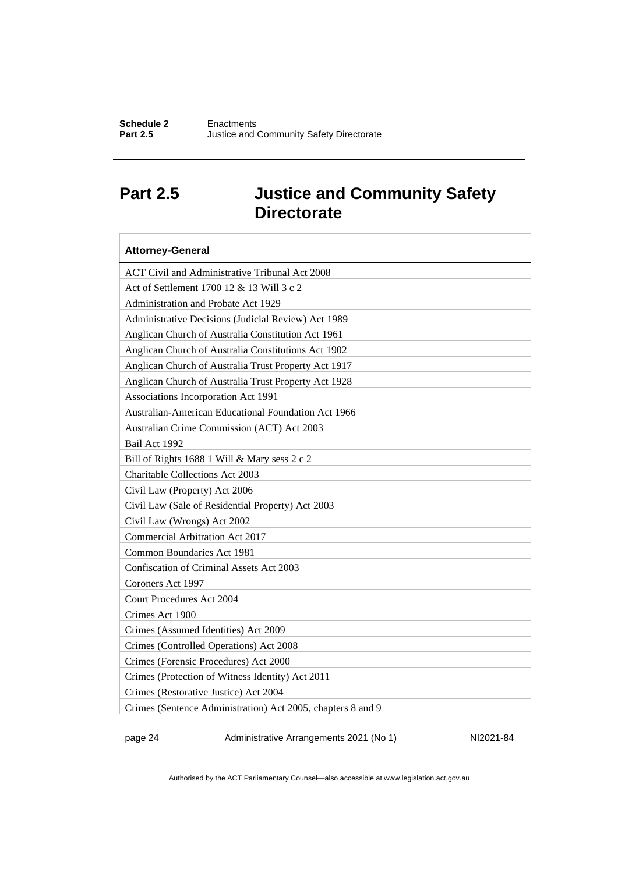### <span id="page-27-0"></span>**Part 2.5 Justice and Community Safety Directorate**

| <b>Attorney-General</b>                                     |
|-------------------------------------------------------------|
| ACT Civil and Administrative Tribunal Act 2008              |
| Act of Settlement 1700 12 & 13 Will 3 c 2                   |
| Administration and Probate Act 1929                         |
| Administrative Decisions (Judicial Review) Act 1989         |
| Anglican Church of Australia Constitution Act 1961          |
| Anglican Church of Australia Constitutions Act 1902         |
| Anglican Church of Australia Trust Property Act 1917        |
| Anglican Church of Australia Trust Property Act 1928        |
| Associations Incorporation Act 1991                         |
| Australian-American Educational Foundation Act 1966         |
| Australian Crime Commission (ACT) Act 2003                  |
| Bail Act 1992                                               |
| Bill of Rights 1688 1 Will & Mary sess 2 c 2                |
| <b>Charitable Collections Act 2003</b>                      |
| Civil Law (Property) Act 2006                               |
| Civil Law (Sale of Residential Property) Act 2003           |
| Civil Law (Wrongs) Act 2002                                 |
| <b>Commercial Arbitration Act 2017</b>                      |
| Common Boundaries Act 1981                                  |
| Confiscation of Criminal Assets Act 2003                    |
| Coroners Act 1997                                           |
| <b>Court Procedures Act 2004</b>                            |
| Crimes Act 1900                                             |
| Crimes (Assumed Identities) Act 2009                        |
| Crimes (Controlled Operations) Act 2008                     |
| Crimes (Forensic Procedures) Act 2000                       |
| Crimes (Protection of Witness Identity) Act 2011            |
| Crimes (Restorative Justice) Act 2004                       |
| Crimes (Sentence Administration) Act 2005, chapters 8 and 9 |

page 24 Administrative Arrangements 2021 (No 1) NI2021-84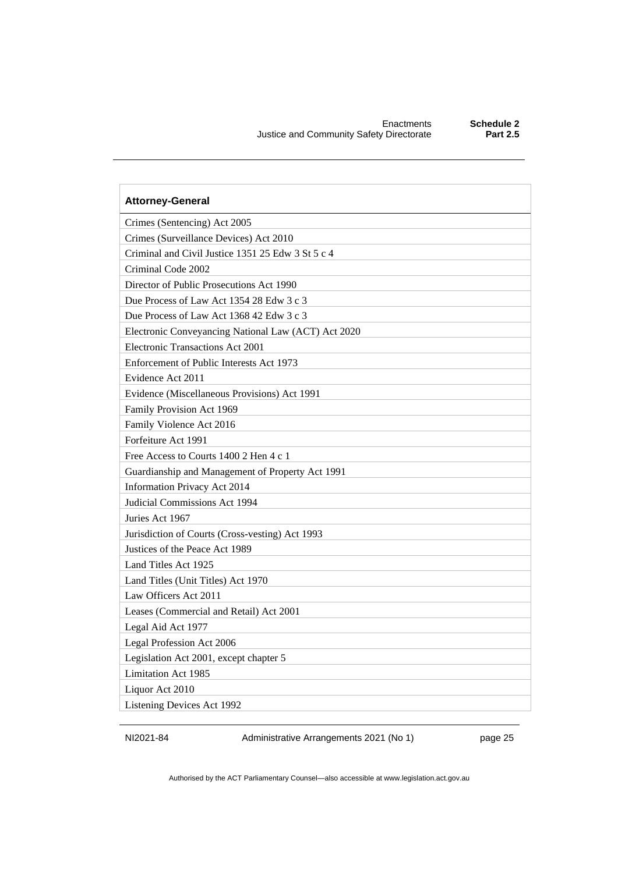| <b>Attorney-General</b>                             |
|-----------------------------------------------------|
| Crimes (Sentencing) Act 2005                        |
| Crimes (Surveillance Devices) Act 2010              |
| Criminal and Civil Justice 1351 25 Edw 3 St 5 c 4   |
| Criminal Code 2002                                  |
| Director of Public Prosecutions Act 1990            |
| Due Process of Law Act 1354 28 Edw 3 c 3            |
| Due Process of Law Act 1368 42 Edw 3 c 3            |
| Electronic Conveyancing National Law (ACT) Act 2020 |
| Electronic Transactions Act 2001                    |
| Enforcement of Public Interests Act 1973            |
| Evidence Act 2011                                   |
| Evidence (Miscellaneous Provisions) Act 1991        |
| Family Provision Act 1969                           |
| Family Violence Act 2016                            |
| Forfeiture Act 1991                                 |
| Free Access to Courts 1400 2 Hen 4 c 1              |
| Guardianship and Management of Property Act 1991    |
| Information Privacy Act 2014                        |
| Judicial Commissions Act 1994                       |
| Juries Act 1967                                     |
| Jurisdiction of Courts (Cross-vesting) Act 1993     |
| Justices of the Peace Act 1989                      |
| Land Titles Act 1925                                |
| Land Titles (Unit Titles) Act 1970                  |
| Law Officers Act 2011                               |
| Leases (Commercial and Retail) Act 2001             |
| Legal Aid Act 1977                                  |
| Legal Profession Act 2006                           |
| Legislation Act 2001, except chapter 5              |
| Limitation Act 1985                                 |
| Liquor Act 2010                                     |
| Listening Devices Act 1992                          |

NI2021-84 Administrative Arrangements 2021 (No 1) page 25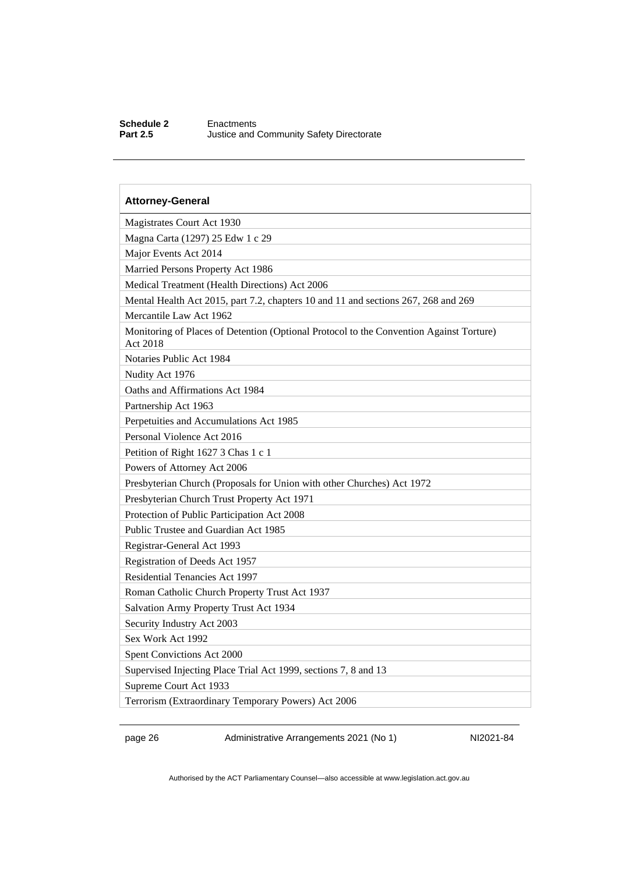#### **Schedule 2** Enactments<br>**Part 2.5** Justice and ( **Justice and Community Safety Directorate**

| <b>Attorney-General</b>                                                                             |
|-----------------------------------------------------------------------------------------------------|
| Magistrates Court Act 1930                                                                          |
| Magna Carta (1297) 25 Edw 1 c 29                                                                    |
| Major Events Act 2014                                                                               |
| Married Persons Property Act 1986                                                                   |
| Medical Treatment (Health Directions) Act 2006                                                      |
| Mental Health Act 2015, part 7.2, chapters 10 and 11 and sections 267, 268 and 269                  |
| Mercantile Law Act 1962                                                                             |
| Monitoring of Places of Detention (Optional Protocol to the Convention Against Torture)<br>Act 2018 |
| Notaries Public Act 1984                                                                            |
| Nudity Act 1976                                                                                     |
| Oaths and Affirmations Act 1984                                                                     |
| Partnership Act 1963                                                                                |
| Perpetuities and Accumulations Act 1985                                                             |
| Personal Violence Act 2016                                                                          |
| Petition of Right 1627 3 Chas 1 c 1                                                                 |
| Powers of Attorney Act 2006                                                                         |
| Presbyterian Church (Proposals for Union with other Churches) Act 1972                              |
| Presbyterian Church Trust Property Act 1971                                                         |
| Protection of Public Participation Act 2008                                                         |
| Public Trustee and Guardian Act 1985                                                                |
| Registrar-General Act 1993                                                                          |
| Registration of Deeds Act 1957                                                                      |
| Residential Tenancies Act 1997                                                                      |
| Roman Catholic Church Property Trust Act 1937                                                       |
| Salvation Army Property Trust Act 1934                                                              |
| Security Industry Act 2003                                                                          |
| Sex Work Act 1992                                                                                   |
| Spent Convictions Act 2000                                                                          |
| Supervised Injecting Place Trial Act 1999, sections 7, 8 and 13                                     |
| Supreme Court Act 1933                                                                              |
| Terrorism (Extraordinary Temporary Powers) Act 2006                                                 |

page 26 Administrative Arrangements 2021 (No 1) NI2021-84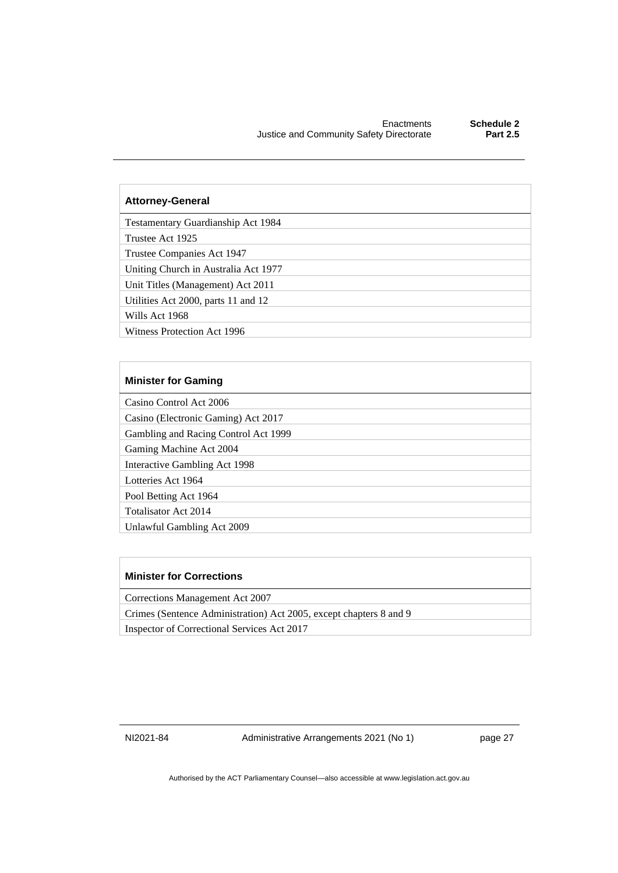#### **Attorney-General**

Testamentary Guardianship Act 1984

Trustee Act 1925

Trustee Companies Act 1947

Uniting Church in Australia Act 1977

Unit Titles (Management) Act 2011

Utilities Act 2000, parts 11 and 12

Wills Act 1968

Witness Protection Act 1996

#### **Minister for Gaming**

Casino Control Act 2006

Casino (Electronic Gaming) Act 2017

Gambling and Racing Control Act 1999

Gaming Machine Act 2004

Interactive Gambling Act 1998

Lotteries Act 1964

Pool Betting Act 1964

Totalisator Act 2014

Unlawful Gambling Act 2009

#### **Minister for Corrections**

Corrections Management Act 2007

Crimes (Sentence Administration) Act 2005, except chapters 8 and 9

Inspector of Correctional Services Act 2017

NI2021-84 Administrative Arrangements 2021 (No 1) page 27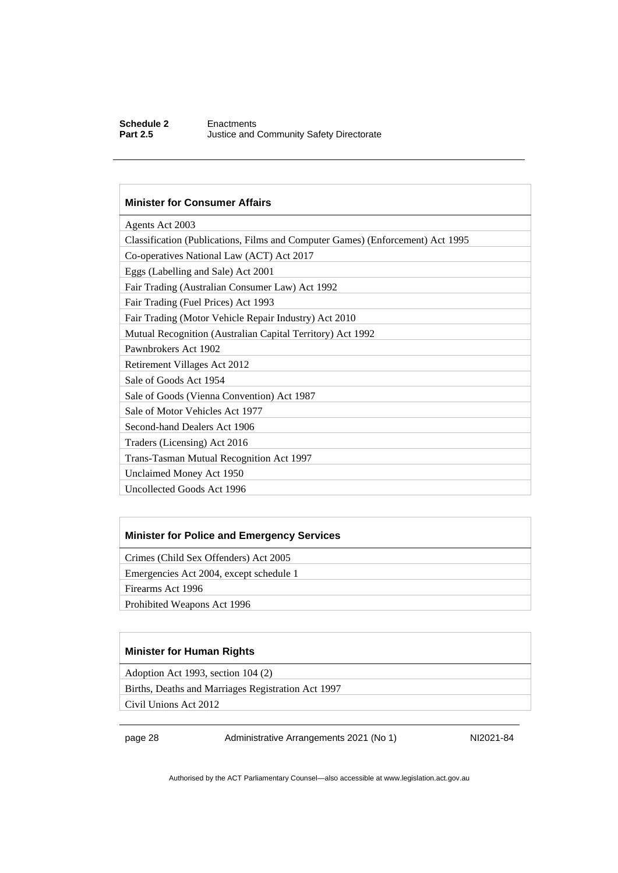#### **Schedule 2** Enactments<br> **Part 2.5** Justice and **Justice and Community Safety Directorate**

#### **Minister for Consumer Affairs**

| Agents Act 2003                                                                |
|--------------------------------------------------------------------------------|
| Classification (Publications, Films and Computer Games) (Enforcement) Act 1995 |
| Co-operatives National Law (ACT) Act 2017                                      |
| Eggs (Labelling and Sale) Act 2001                                             |
| Fair Trading (Australian Consumer Law) Act 1992                                |
| Fair Trading (Fuel Prices) Act 1993                                            |
| Fair Trading (Motor Vehicle Repair Industry) Act 2010                          |
| Mutual Recognition (Australian Capital Territory) Act 1992                     |
| Pawnbrokers Act 1902                                                           |
| Retirement Villages Act 2012                                                   |
| Sale of Goods Act 1954                                                         |
| Sale of Goods (Vienna Convention) Act 1987                                     |
| Sale of Motor Vehicles Act 1977                                                |
| Second-hand Dealers Act 1906                                                   |
| Traders (Licensing) Act 2016                                                   |
| Trans-Tasman Mutual Recognition Act 1997                                       |
| Unclaimed Money Act 1950                                                       |
| Uncollected Goods Act 1996                                                     |
|                                                                                |

#### **Minister for Police and Emergency Services**

Crimes (Child Sex Offenders) Act 2005

Emergencies Act 2004, except schedule 1

Firearms Act 1996

Prohibited Weapons Act 1996

#### **Minister for Human Rights**

Adoption Act 1993, section 104 (2)

Births, Deaths and Marriages Registration Act 1997

Civil Unions Act 2012

page 28 Administrative Arrangements 2021 (No 1) NI2021-84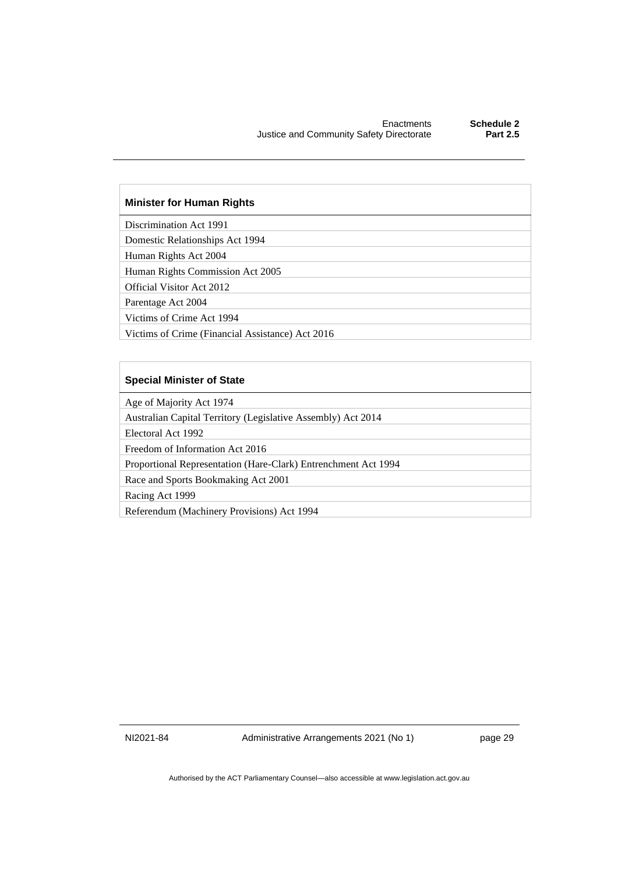#### **Minister for Human Rights**

Discrimination Act 1991

Domestic Relationships Act 1994

Human Rights Act 2004

Human Rights Commission Act 2005

Official Visitor Act 2012

Parentage Act 2004

Victims of Crime Act 1994

Victims of Crime (Financial Assistance) Act 2016

#### **Special Minister of State**

Age of Majority Act 1974

Australian Capital Territory (Legislative Assembly) Act 2014

Electoral Act 1992

Freedom of Information Act 2016

Proportional Representation (Hare-Clark) Entrenchment Act 1994

Race and Sports Bookmaking Act 2001

Racing Act 1999

Referendum (Machinery Provisions) Act 1994

NI2021-84 Administrative Arrangements 2021 (No 1) page 29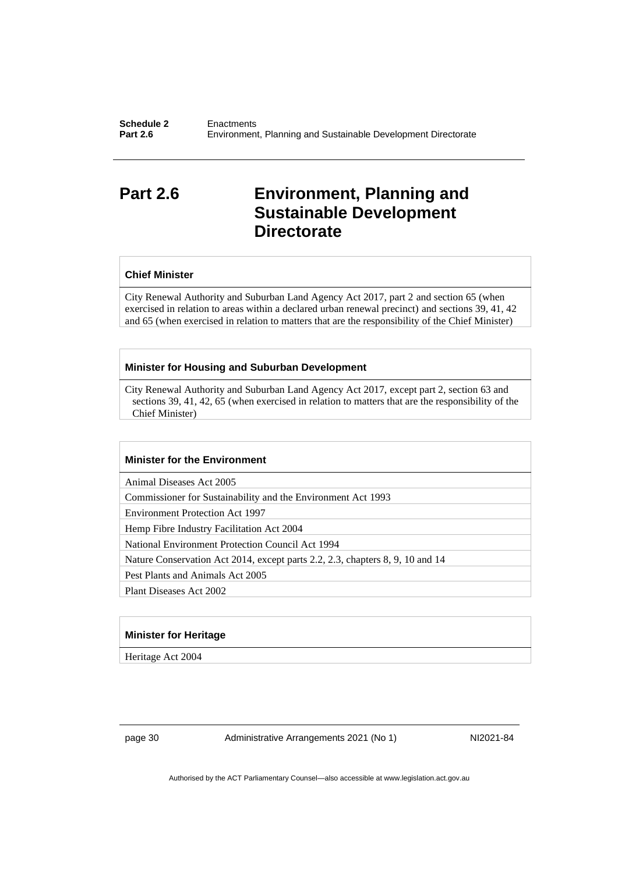### <span id="page-33-0"></span>**Part 2.6 Environment, Planning and Sustainable Development Directorate**

#### **Chief Minister**

City Renewal Authority and Suburban Land Agency Act 2017, part 2 and section 65 (when exercised in relation to areas within a declared urban renewal precinct) and sections 39, 41, 42 and 65 (when exercised in relation to matters that are the responsibility of the Chief Minister)

#### **Minister for Housing and Suburban Development**

City Renewal Authority and Suburban Land Agency Act 2017, except part 2, section 63 and sections 39, 41, 42, 65 (when exercised in relation to matters that are the responsibility of the Chief Minister)

#### **Minister for the Environment**

Animal Diseases Act 2005

Commissioner for Sustainability and the Environment Act 1993

Environment Protection Act 1997

Hemp Fibre Industry Facilitation Act 2004

National Environment Protection Council Act 1994

Nature Conservation Act 2014, except parts 2.2, 2.3, chapters 8, 9, 10 and 14

Pest Plants and Animals Act 2005

Plant Diseases Act 2002

#### **Minister for Heritage**

Heritage Act 2004

page 30 Administrative Arrangements 2021 (No 1) NI2021-84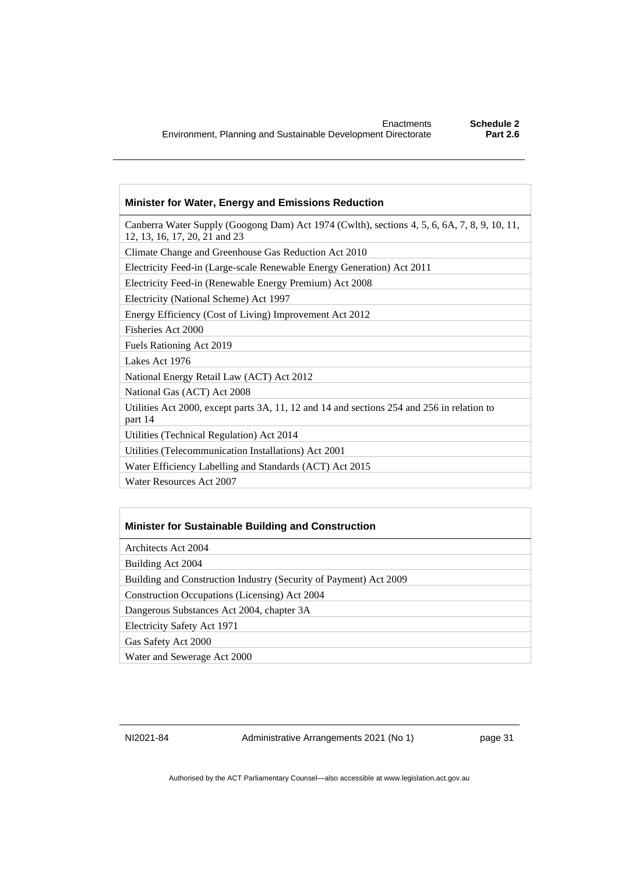#### **Minister for Water, Energy and Emissions Reduction**

Canberra Water Supply (Googong Dam) Act 1974 (Cwlth), sections 4, 5, 6, 6A, 7, 8, 9, 10, 11, 12, 13, 16, 17, 20, 21 and 23

Climate Change and Greenhouse Gas Reduction Act 2010

Electricity Feed-in (Large-scale Renewable Energy Generation) Act 2011

Electricity Feed-in (Renewable Energy Premium) Act 2008

Electricity (National Scheme) Act 1997

Energy Efficiency (Cost of Living) Improvement Act 2012

Fisheries Act 2000

Fuels Rationing Act 2019

Lakes Act 1976

National Energy Retail Law (ACT) Act 2012

National Gas (ACT) Act 2008

Utilities Act 2000, except parts 3A, 11, 12 and 14 and sections 254 and 256 in relation to part 14

Utilities (Technical Regulation) Act 2014

Utilities (Telecommunication Installations) Act 2001

Water Efficiency Labelling and Standards (ACT) Act 2015

Water Resources Act 2007

#### **Minister for Sustainable Building and Construction**

Architects Act 2004

Building Act 2004

Building and Construction Industry (Security of Payment) Act 2009

Construction Occupations (Licensing) Act 2004

Dangerous Substances Act 2004, chapter 3A

Electricity Safety Act 1971

Gas Safety Act 2000

Water and Sewerage Act 2000

NI2021-84 Administrative Arrangements 2021 (No 1) page 31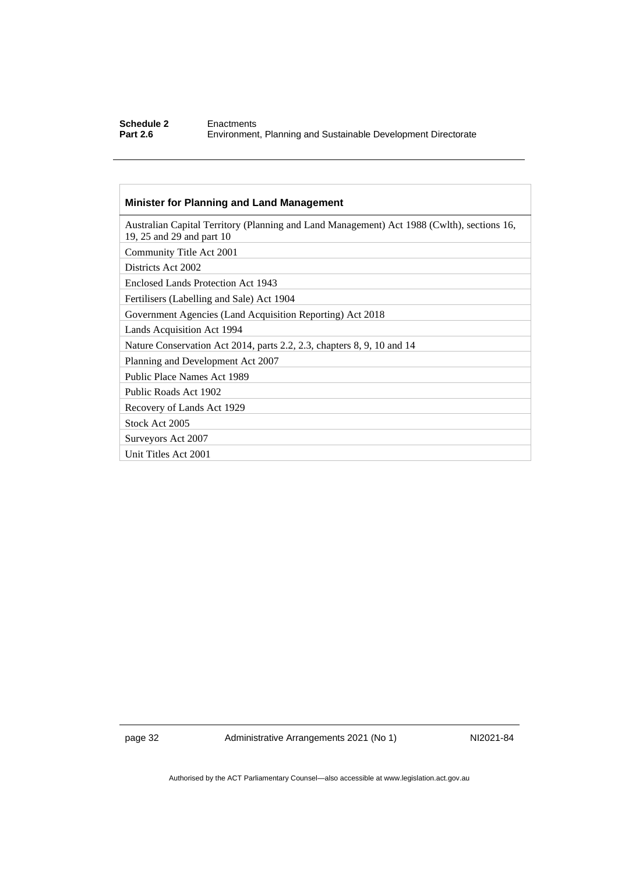#### **Schedule 2** Enactments<br> **Part 2.6** Environment **Part 2.6** Environment, Planning and Sustainable Development Directorate

### **Minister for Planning and Land Management**

| Australian Capital Territory (Planning and Land Management) Act 1988 (Cwlth), sections 16,<br>19, 25 and 29 and part 10 |
|-------------------------------------------------------------------------------------------------------------------------|
| Community Title Act 2001                                                                                                |
| Districts Act 2002                                                                                                      |
| Enclosed Lands Protection Act 1943                                                                                      |
| Fertilisers (Labelling and Sale) Act 1904                                                                               |
| Government Agencies (Land Acquisition Reporting) Act 2018                                                               |
| Lands Acquisition Act 1994                                                                                              |
| Nature Conservation Act 2014, parts 2.2, 2.3, chapters 8, 9, 10 and 14                                                  |
| Planning and Development Act 2007                                                                                       |
| Public Place Names Act 1989                                                                                             |
| Public Roads Act 1902                                                                                                   |
| Recovery of Lands Act 1929                                                                                              |
| Stock Act 2005                                                                                                          |
| Surveyors Act 2007                                                                                                      |
| Unit Titles Act 2001                                                                                                    |
|                                                                                                                         |

page 32 Administrative Arrangements 2021 (No 1) NI2021-84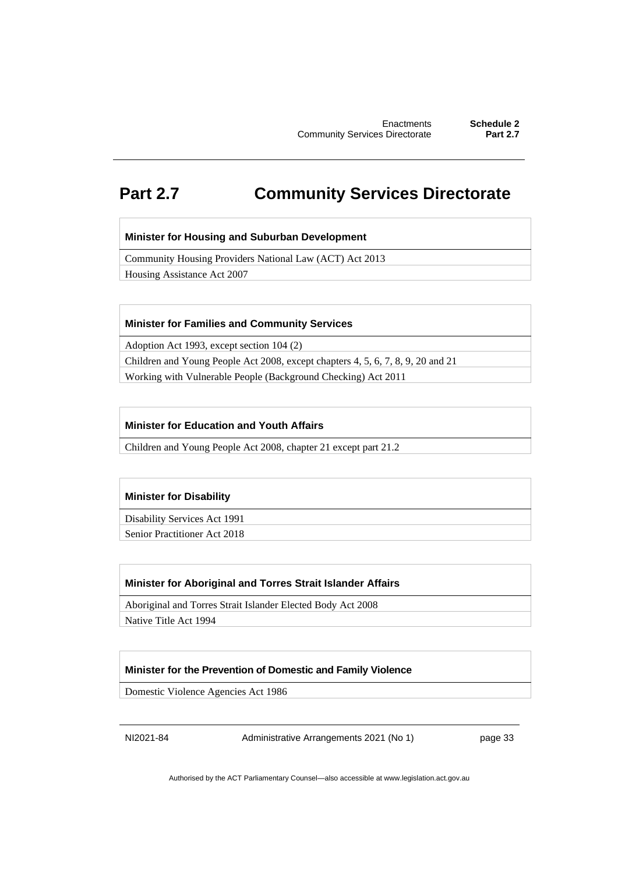### <span id="page-36-0"></span>**Part 2.7 Community Services Directorate**

#### **Minister for Housing and Suburban Development**

Community Housing Providers National Law (ACT) Act 2013

Housing Assistance Act 2007

#### **Minister for Families and Community Services**

Adoption Act 1993, except section 104 (2)

Children and Young People Act 2008, except chapters 4, 5, 6, 7, 8, 9, 20 and 21 Working with Vulnerable People (Background Checking) Act 2011

#### **Minister for Education and Youth Affairs**

Children and Young People Act 2008, chapter 21 except part 21.2

#### **Minister for Disability**

Disability Services Act 1991

Senior Practitioner Act 2018

#### **Minister for Aboriginal and Torres Strait Islander Affairs**

Aboriginal and Torres Strait Islander Elected Body Act 2008

Native Title Act 1994

#### **Minister for the Prevention of Domestic and Family Violence**

Domestic Violence Agencies Act 1986

NI2021-84 Administrative Arrangements 2021 (No 1) page 33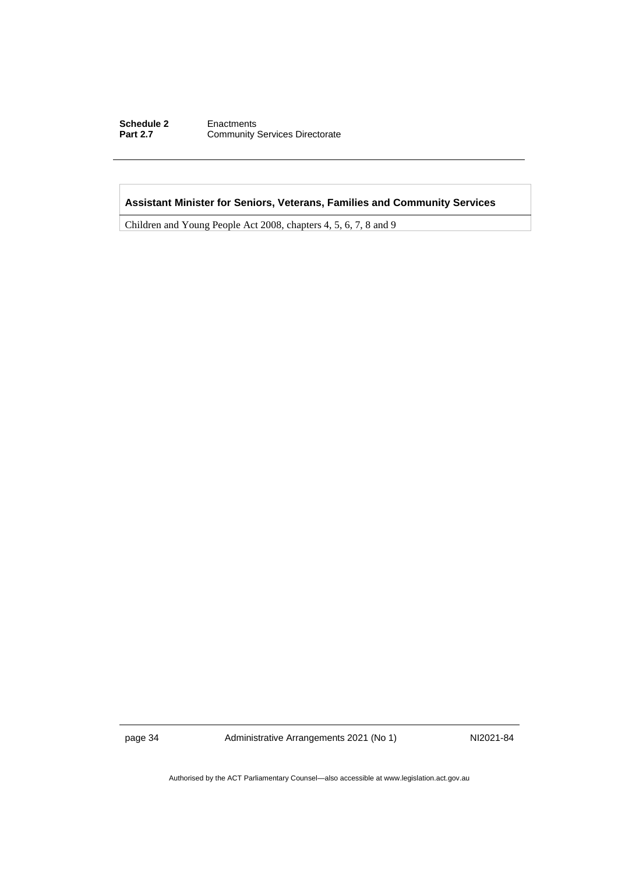#### **Schedule 2** Enactments<br> **Part 2.7** Community **Community Services Directorate**

#### **Assistant Minister for Seniors, Veterans, Families and Community Services**

Children and Young People Act 2008, chapters 4, 5, 6, 7, 8 and 9

page 34 Administrative Arrangements 2021 (No 1) NI2021-84